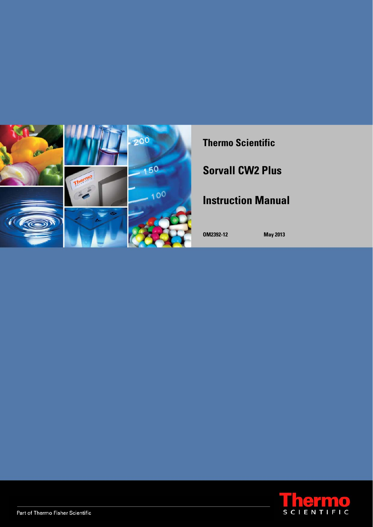

**Thermo Scientific**

**Sorvall CW2 Plus**

## **Instruction Manual**

**OM2392-12 May 2013**

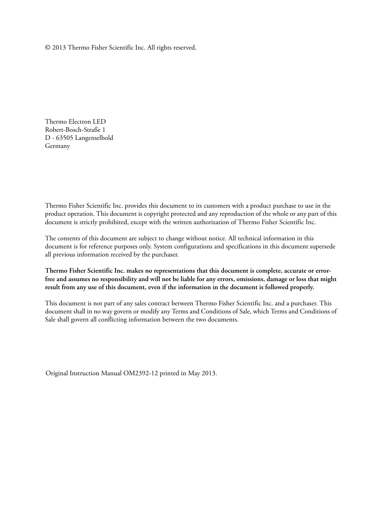© 2013 Thermo Fisher Scientific Inc. All rights reserved.

Thermo Electron LED Robert-Bosch-Straße 1 D - 63505 Langenselbold Germany

Thermo Fisher Scientific Inc. provides this document to its customers with a product purchase to use in the product operation. This document is copyright protected and any reproduction of the whole or any part of this document is strictly prohibited, except with the written authorization of Thermo Fisher Scientific Inc.

The contents of this document are subject to change without notice. All technical information in this document is for reference purposes only. System configurations and specifications in this document supersede all previous information received by the purchaser.

**Thermo Fisher Scientific Inc. makes no representations that this document is complete, accurate or errorfree and assumes no responsibility and will not be liable for any errors, omissions, damage or loss that might result from any use of this document, even if the information in the document is followed properly.** 

This document is not part of any sales contract between Thermo Fisher Scientific Inc. and a purchaser. This document shall in no way govern or modify any Terms and Conditions of Sale, which Terms and Conditions of Sale shall govern all conflicting information between the two documents.

Original Instruction Manual OM2392-12 printed in May 2013.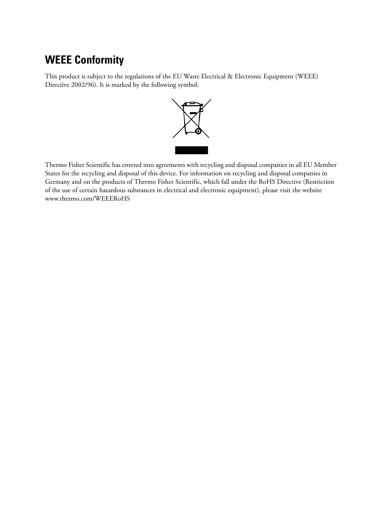## **WEEE Conformity**

This product is subject to the regulations of the EU Waste Electrical & Electronic Equipment (WEEE) Directive 2002/96). It is marked by the following symbol:



Thermo Fisher Scientific has entered into agreements with recycling and disposal companies in all EU Member States for the recycling and disposal of this device. For information on recycling and disposal companies in Germany and on the products of Thermo Fisher Scientific, which fall under the RoHS Directive (Restriction of the use of certain hazardous substances in electrical and electronic equipment), please visit the website www.thermo.com/WEEERoHS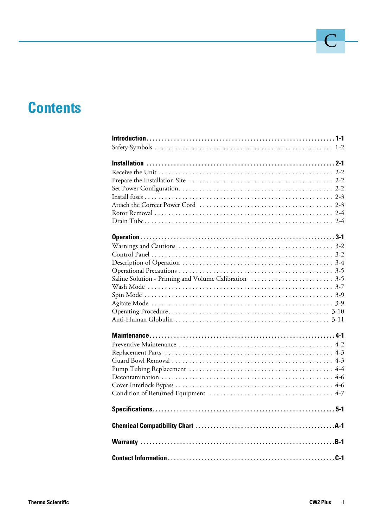# **Contents**

 $\overline{\mathsf{C}}$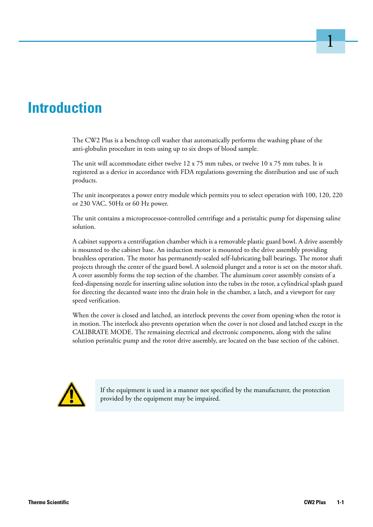## <span id="page-5-0"></span>**Introduction**

The CW2 Plus is a benchtop cell washer that automatically performs the washing phase of the anti-globulin procedure in tests using up to six drops of blood sample.

The unit will accommodate either twelve 12 x 75 mm tubes, or twelve 10 x 75 mm tubes. It is registered as a device in accordance with FDA regulations governing the distribution and use of such products.

The unit incorporates a power entry module which permits you to select operation with 100, 120, 220 or 230 VAC, 50Hz or 60 Hz power.

The unit contains a microprocessor-controlled centrifuge and a peristaltic pump for dispensing saline solution.

A cabinet supports a centrifugation chamber which is a removable plastic guard bowl. A drive assembly is mounted to the cabinet base. An induction motor is mounted to the drive assembly providing brushless operation. The motor has permanently-sealed self-lubricating ball bearings. The motor shaft projects through the center of the guard bowl. A solenoid plunger and a rotor is set on the motor shaft. A cover assembly forms the top section of the chamber. The aluminum cover assembly consists of a feed-dispensing nozzle for inserting saline solution into the tubes in the rotor, a cylindrical splash guard for directing the decanted waste into the drain hole in the chamber, a latch, and a viewport for easy speed verification.

When the cover is closed and latched, an interlock prevents the cover from opening when the rotor is in motion. The interlock also prevents operation when the cover is not closed and latched except in the CALIBRATE MODE. The remaining electrical and electronic components, along with the saline solution peristaltic pump and the rotor drive assembly, are located on the base section of the cabinet.



If the equipment is used in a manner not specified by the manufacturer, the protection provided by the equipment may be impaired.

1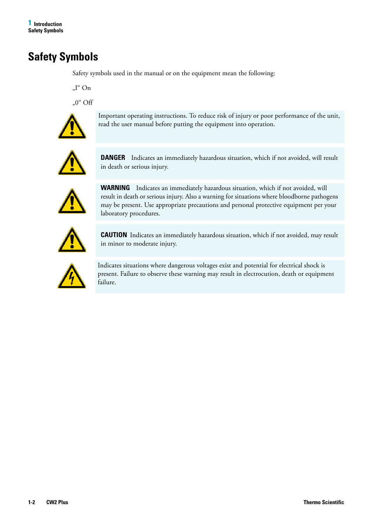## <span id="page-6-0"></span>**Safety Symbols**

Safety symbols used in the manual or on the equipment mean the following:

 $n^u$  On

 $.0^\circ$  Off



Important operating instructions. To reduce risk of injury or poor performance of the unit, read the user manual before putting the equipment into operation.



**DANGER** Indicates an immediately hazardous situation, which if not avoided, will result in death or serious injury.



**WARNING** Indicates an immediately hazardous situation, which if not avoided, will result in death or serious injury. Also a warning for situations where bloodborne pathogens may be present. Use appropriate precautions and personal protective equipment per your laboratory procedures.



**CAUTION** Indicates an immediately hazardous situation, which if not avoided, may result in minor to moderate injury.



Indicates situations where dangerous voltages exist and potential for electrical shock is present. Failure to observe these warning may result in electrocution, death or equipment failure.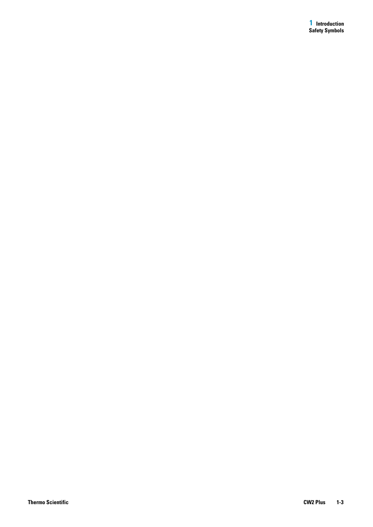**1 Introduction Safety Symbols**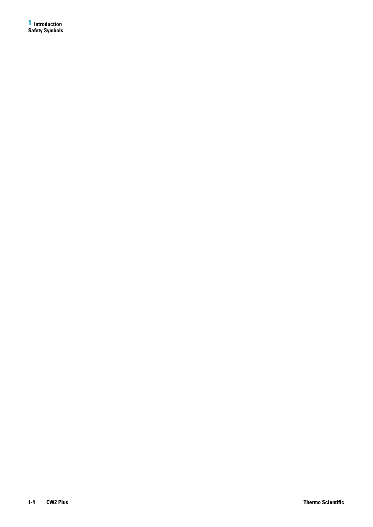**1 Introduction Safety Symbols**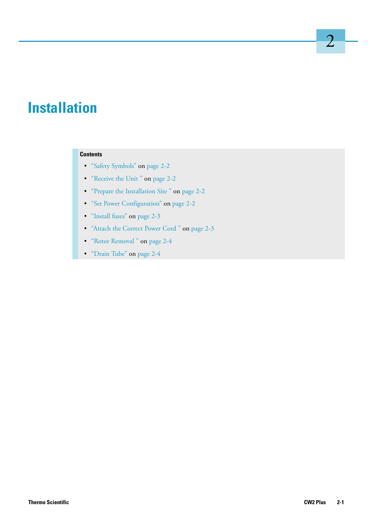# <span id="page-9-0"></span>**Installation**

#### **Contents**

- **•** "Safety Symbols" on page 2-2
- **•** ["Receive the Unit " on page](#page-10-0) 2-2
- **•** ["Prepare the Installation Site " on page](#page-10-1) 2-2
- **•** ["Set Power Configuration" on page](#page-10-2) 2-2
- **•** ["Install fuses" on page](#page-11-0) 2-3
- **•** ["Attach the Correct Power Cord " on page](#page-11-1) 2-3
- **•** ["Rotor Removal " on page](#page-12-0) 2-4
- **•** ["Drain Tube" on page](#page-12-1) 2-4

2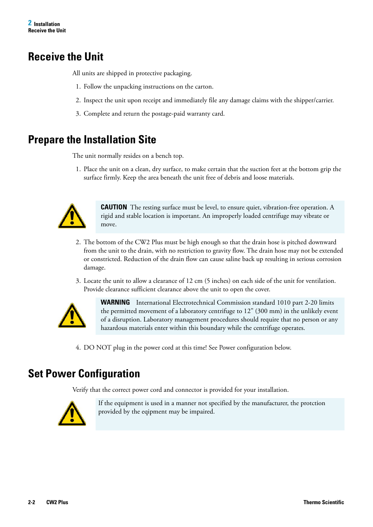## <span id="page-10-0"></span>**Receive the Unit**

All units are shipped in protective packaging.

- 1. Follow the unpacking instructions on the carton.
- 2. Inspect the unit upon receipt and immediately file any damage claims with the shipper/carrier.
- 3. Complete and return the postage-paid warranty card.

## <span id="page-10-1"></span>**Prepare the Installation Site**

The unit normally resides on a bench top.

1. Place the unit on a clean, dry surface, to make certain that the suction feet at the bottom grip the surface firmly. Keep the area beneath the unit free of debris and loose materials.



**CAUTION** The resting surface must be level, to ensure quiet, vibration-free operation. A rigid and stable location is important. An improperly loaded centrifuge may vibrate or move.

- 2. The bottom of the CW2 Plus must be high enough so that the drain hose is pitched downward from the unit to the drain, with no restriction to gravity flow. The drain hose may not be extended or constricted. Reduction of the drain flow can cause saline back up resulting in serious corrosion damage.
- 3. Locate the unit to allow a clearance of 12 cm (5 inches) on each side of the unit for ventilation. Provide clearance sufficient clearance above the unit to open the cover.



**WARNING** International Electrotechnical Commission standard 1010 part 2-20 limits the permitted movement of a laboratory centrifuge to 12" (300 mm) in the unlikely event of a disruption. Laboratory management procedures should require that no person or any hazardous materials enter within this boundary while the centrifuge operates.

4. DO NOT plug in the power cord at this time! See Power configuration below.

## <span id="page-10-2"></span>**Set Power Configuration**

Verify that the correct power cord and connector is provided for your installation.



If the equipment is used in a manner not specified by the manufacturer, the protction provided by the eqipment may be impaired.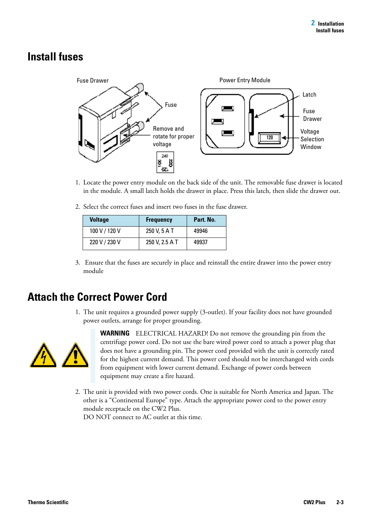## <span id="page-11-0"></span>**Install fuses**



- 1. Locate the power entry module on the back side of the unit. The removable fuse drawer is located in the module. A small latch holds the drawer in place. Press this latch, then slide the drawer out.
- 2. Select the correct fuses and insert two fuses in the fuse drawer.

| <b>Voltage</b> | <b>Frequency</b> | Part. No. |
|----------------|------------------|-----------|
| 100 V / 120 V  | 250 V, 5 A T     | 49946     |
| 220 V / 230 V  | 250 V, 2.5 A T   | 49937     |

3. Ensure that the fuses are securely in place and reinstall the entire drawer into the power entry module

## <span id="page-11-1"></span>**Attach the Correct Power Cord**

1. The unit requires a grounded power supply (3-outlet). If your facility does not have grounded power outlets, arrange for proper grounding.



**WARNING** ELECTRICAL HAZARD! Do not remove the grounding pin from the centrifuge power cord. Do not use the bare wired power cord to attach a power plug that does not have a grounding pin. The power cord provided with the unit is correctly rated for the highest current demand. This power cord should not be interchanged with cords from equipment with lower current demand. Exchange of power cords between equipment may create a fire hazard.

2. The unit is provided with two power cords. One is suitable for North America and Japan. The other is a "Continental Europe" type. Attach the appropriate power cord to the power entry module receptacle on the CW2 Plus. DO NOT connect to AC outlet at this time.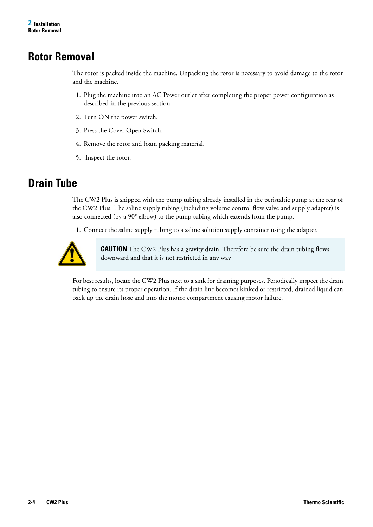## <span id="page-12-0"></span>**Rotor Removal**

The rotor is packed inside the machine. Unpacking the rotor is necessary to avoid damage to the rotor and the machine.

- 1. Plug the machine into an AC Power outlet after completing the proper power configuration as described in the previous section.
- 2. Turn ON the power switch.
- 3. Press the Cover Open Switch.
- 4. Remove the rotor and foam packing material.
- 5. Inspect the rotor.

## <span id="page-12-1"></span>**Drain Tube**

The CW2 Plus is shipped with the pump tubing already installed in the peristaltic pump at the rear of the CW2 Plus. The saline supply tubing (including volume control flow valve and supply adapter) is also connected (by a 90° elbow) to the pump tubing which extends from the pump.

1. Connect the saline supply tubing to a saline solution supply container using the adapter.



**CAUTION** The CW2 Plus has a gravity drain. Therefore be sure the drain tubing flows downward and that it is not restricted in any way

For best results, locate the CW2 Plus next to a sink for draining purposes. Periodically inspect the drain tubing to ensure its proper operation. If the drain line becomes kinked or restricted, drained liquid can back up the drain hose and into the motor compartment causing motor failure.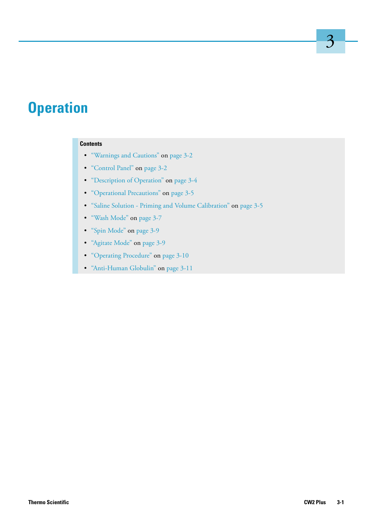# <span id="page-13-0"></span>**Operation**

#### **Contents**

- **•** ["Warnings and Cautions" on page](#page-14-0) 3-2
- **•** ["Control Panel" on page](#page-14-1) 3-2
- **•** ["Description of Operation" on page](#page-16-0) 3-4
- **•** ["Operational Precautions" on page](#page-17-0) 3-5
- **•** ["Saline Solution Priming and Volume Calibration" on page](#page-17-1) 3-5
- **•** ["Wash Mode" on page](#page-19-0) 3-7
- **•** ["Spin Mode" on page](#page-21-0) 3-9
- **•** ["Agitate Mode" on page](#page-21-1) 3-9
- **•** ["Operating Procedure" on page](#page-22-0) 3-10
- **•** ["Anti-Human Globulin" on page](#page-23-0) 3-11

3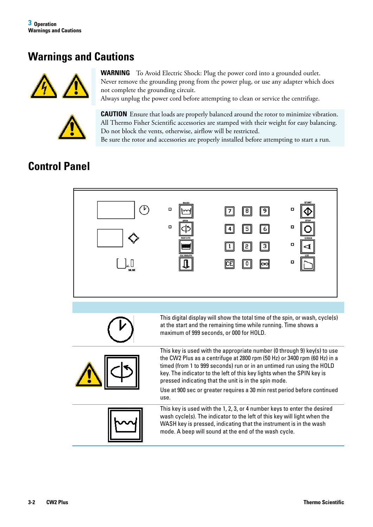## <span id="page-14-0"></span>**Warnings and Cautions**



**WARNING** To Avoid Electric Shock: Plug the power cord into a grounded outlet. Never remove the grounding prong from the power plug, or use any adapter which does not complete the grounding circuit.

Always unplug the power cord before attempting to clean or service the centrifuge.



**CAUTION** Ensure that loads are properly balanced around the rotor to minimize vibration. All Thermo Fisher Scientific accessories are stamped with their weight for easy balancing. Do not block the vents, otherwise, airflow will be restricted. Be sure the rotor and accessories are properly installed before attempting to start a run.

## <span id="page-14-1"></span>**Control Panel**

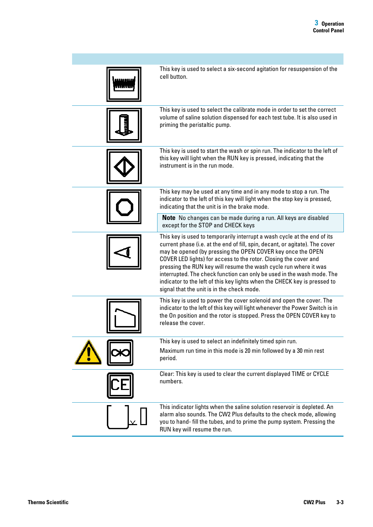| This key is used to select a six-second agitation for resuspension of the<br>cell button.                                                                                                                                                                                                                                                                                                                                                                                                                                                                            |
|----------------------------------------------------------------------------------------------------------------------------------------------------------------------------------------------------------------------------------------------------------------------------------------------------------------------------------------------------------------------------------------------------------------------------------------------------------------------------------------------------------------------------------------------------------------------|
| This key is used to select the calibrate mode in order to set the correct<br>volume of saline solution dispensed for each test tube. It is also used in<br>priming the peristaltic pump.                                                                                                                                                                                                                                                                                                                                                                             |
| This key is used to start the wash or spin run. The indicator to the left of<br>this key will light when the RUN key is pressed, indicating that the<br>instrument is in the run mode.                                                                                                                                                                                                                                                                                                                                                                               |
| This key may be used at any time and in any mode to stop a run. The<br>indicator to the left of this key will light when the stop key is pressed,<br>indicating that the unit is in the brake mode.                                                                                                                                                                                                                                                                                                                                                                  |
| <b>Note</b> No changes can be made during a run. All keys are disabled<br>except for the STOP and CHECK keys                                                                                                                                                                                                                                                                                                                                                                                                                                                         |
| This key is used to temporarily interrupt a wash cycle at the end of its<br>current phase (i.e. at the end of fill, spin, decant, or agitate). The cover<br>may be opened (by pressing the OPEN COVER key once the OPEN<br>COVER LED lights) for access to the rotor. Closing the cover and<br>pressing the RUN key will resume the wash cycle run where it was<br>interrupted. The check function can only be used in the wash mode. The<br>indicator to the left of this key lights when the CHECK key is pressed to<br>signal that the unit is in the check mode. |
| This key is used to power the cover solenoid and open the cover. The<br>indicator to the left of this key will light whenever the Power Switch is in<br>the On position and the rotor is stopped. Press the OPEN COVER key to<br>release the cover                                                                                                                                                                                                                                                                                                                   |
| This key is used to select an indefinitely timed spin run.<br>Maximum run time in this mode is 20 min followed by a 30 min rest<br>period.                                                                                                                                                                                                                                                                                                                                                                                                                           |
| Clear: This key is used to clear the current displayed TIME or CYCLE<br>numbers.                                                                                                                                                                                                                                                                                                                                                                                                                                                                                     |
| This indicator lights when the saline solution reservoir is depleted. An<br>alarm also sounds. The CW2 Plus defaults to the check mode, allowing<br>you to hand- fill the tubes, and to prime the pump system. Pressing the<br>RUN key will resume the run.                                                                                                                                                                                                                                                                                                          |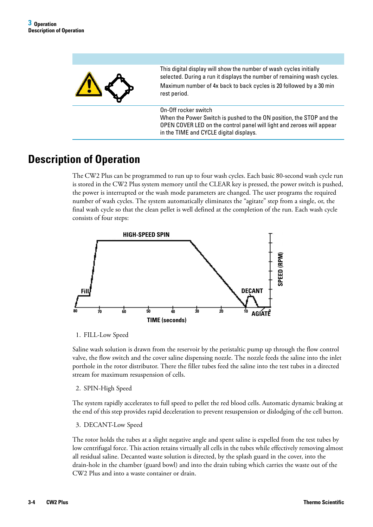

## <span id="page-16-0"></span>**Description of Operation**

The CW2 Plus can be programmed to run up to four wash cycles. Each basic 80-second wash cycle run is stored in the CW2 Plus system memory until the CLEAR key is pressed, the power switch is pushed, the power is interrupted or the wash mode parameters are changed. The user programs the required number of wash cycles. The system automatically eliminates the "agitate" step from a single, or, the final wash cycle so that the clean pellet is well defined at the completion of the run. Each wash cycle consists of four steps:



1. FILL-Low Speed

Saline wash solution is drawn from the reservoir by the peristaltic pump up through the flow control valve, the flow switch and the cover saline dispensing nozzle. The nozzle feeds the saline into the inlet porthole in the rotor distributor. There the filler tubes feed the saline into the test tubes in a directed stream for maximum resuspension of cells.

2. SPIN-High Speed

The system rapidly accelerates to full speed to pellet the red blood cells. Automatic dynamic braking at the end of this step provides rapid deceleration to prevent resuspension or dislodging of the cell button.

3. DECANT-Low Speed

The rotor holds the tubes at a slight negative angle and spent saline is expelled from the test tubes by low centrifugal force. This action retains virtually all cells in the tubes while effectively removing almost all residual saline. Decanted waste solution is directed, by the splash guard in the cover, into the drain-hole in the chamber (guard bowl) and into the drain tubing which carries the waste out of the CW2 Plus and into a waste container or drain.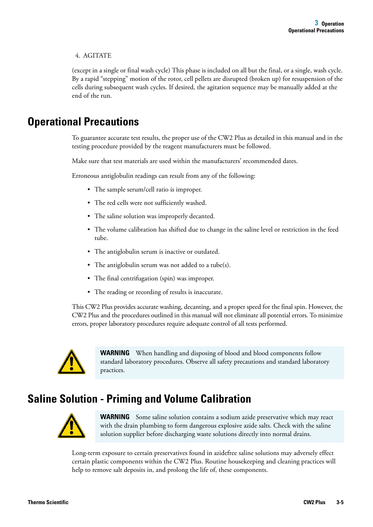#### 4. AGITATE

(except in a single or final wash cycle) This phase is included on all but the final, or a single, wash cycle. By a rapid "stepping" motion of the rotor, cell pellets are disrupted (broken up) for resuspension of the cells during subsequent wash cycles. If desired, the agitation sequence may be manually added at the end of the run.

### <span id="page-17-0"></span>**Operational Precautions**

To guarantee accurate test results, the proper use of the CW2 Plus as detailed in this manual and in the testing procedure provided by the reagent manufacturers must be followed.

Make sure that test materials are used within the manufacturers' recommended dates.

Erroneous antiglobulin readings can result from any of the following:

- **•** The sample serum/cell ratio is improper.
- **•** The red cells were not sufficiently washed.
- **•** The saline solution was improperly decanted.
- **•** The volume calibration has shifted due to change in the saline level or restriction in the feed tube.
- **•** The antiglobulin serum is inactive or outdated.
- **•** The antiglobulin serum was not added to a tube(s).
- **•** The final centrifugation (spin) was improper.
- **•** The reading or recording of results is inaccurate.

This CW2 Plus provides accurate washing, decanting, and a proper speed for the final spin. However, the CW2 Plus and the procedures outlined in this manual will not eliminate all potential errors. To minimize errors, proper laboratory procedures require adequate control of all tests performed.



**WARNING** When handling and disposing of blood and blood components follow standard laboratory procedures. Observe all safety precautions and standard laboratory practices.

### <span id="page-17-1"></span>**Saline Solution - Priming and Volume Calibration**



WARNING Some saline solution contains a sodium azide preservative which may react with the drain plumbing to form dangerous explosive azide salts. Check with the saline solution supplier before discharging waste solutions directly into normal drains.

Long-term exposure to certain preservatives found in azidefree saline solutions may adversely effect certain plastic components within the CW2 Plus. Routine housekeeping and cleaning practices will help to remove salt deposits in, and prolong the life of, these components.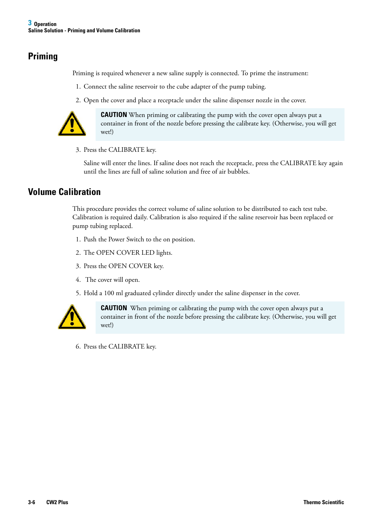### **Priming**

Priming is required whenever a new saline supply is connected. To prime the instrument:

- 1. Connect the saline reservoir to the cube adapter of the pump tubing.
- 2. Open the cover and place a receptacle under the saline dispenser nozzle in the cover.



**CAUTION** When priming or calibrating the pump with the cover open always put a container in front of the nozzle before pressing the calibrate key. (Otherwise, you will get wet!)

3. Press the CALIBRATE key.

Saline will enter the lines. If saline does not reach the receptacle, press the CALIBRATE key again until the lines are full of saline solution and free of air bubbles.

#### **Volume Calibration**

This procedure provides the correct volume of saline solution to be distributed to each test tube. Calibration is required daily. Calibration is also required if the saline reservoir has been replaced or pump tubing replaced.

- 1. Push the Power Switch to the on position.
- 2. The OPEN COVER LED lights.
- 3. Press the OPEN COVER key.
- 4. The cover will open.
- 5. Hold a 100 ml graduated cylinder directly under the saline dispenser in the cover.



**CAUTION** When priming or calibrating the pump with the cover open always put a container in front of the nozzle before pressing the calibrate key. (Otherwise, you will get wet!)

6. Press the CALIBRATE key.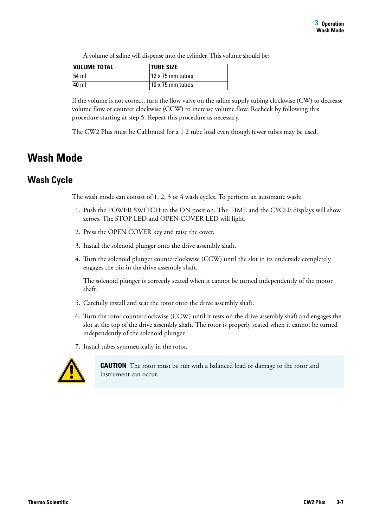| <b>VOLUME TOTAL</b> | <b>TUBE SIZE</b>        |  |
|---------------------|-------------------------|--|
| 54 ml               | $12 \times 75$ mm tubes |  |

40 ml 10 x 75 mm tubes

A volume of saline will dispense into the cylinder. This volume should be:

If the volume is not correct, turn the flow valve on the saline supply tubing clockwise (CW) to decrease volume flow or counter clockwise (CCW) to increase volume flow. Recheck by following this procedure starting at step 5. Repeat this procedure as necessary.

The CW2 Plus must be Calibrated for a 1 2 tube load even though fewer tubes may be used.

## <span id="page-19-0"></span>**Wash Mode**

#### **Wash Cycle**

The wash mode can consist of 1, 2, 3 or 4 wash cycles. To perform an automatic wash:

- 1. Push the POWER SWITCH to the ON position. The TIME and the CYCLE displays will show zeroes. The STOP LED and OPEN COVER LED will light.
- 2. Press the OPEN COVER key and raise the cover.
- 3. Install the solenoid plunger onto the drive assembly shaft.
- 4. Turn the solenoid plunger counterclockwise (CCW) until the slot in its underside completely engages the pin in the drive assembly shaft.

The solenoid plunger is correctly seated when it cannot be turned independently of the motor shaft.

- 5. Carefully install and seat the rotor onto the drive assembly shaft.
- 6. Turn the rotor counterclockwise (CCW) until it rests on the drive assembly shaft and engages the slot at the top of the drive assembly shaft. The rotor is properly seated when it cannot be turned independently of the solenoid plunger.
- 7. Install tubes symmetrically in the rotor.



**CAUTION** The rotor must be run with a balanced load or damage to the rotor and instrument can occur.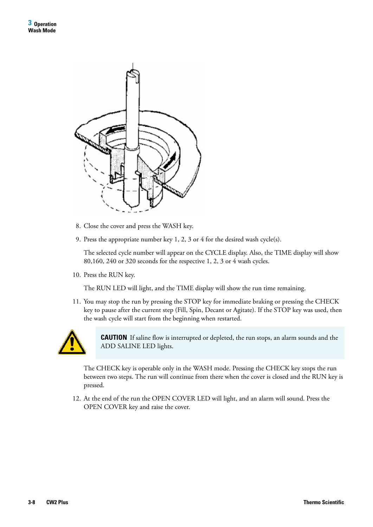

- 8. Close the cover and press the WASH key.
- 9. Press the appropriate number key 1, 2, 3 or 4 for the desired wash cycle(s).

The selected cycle number will appear on the CYCLE display. Also, the TIME display will show 80,160, 240 or 320 seconds for the respective 1, 2, 3 or 4 wash cycles.

10. Press the RUN key.

The RUN LED will light, and the TIME display will show the run time remaining.

11. You may stop the run by pressing the STOP key for immediate braking or pressing the CHECK key to pause after the current step (Fill, Spin, Decant or Agitate). If the STOP key was used, then the wash cycle will start from the beginning when restarted.



**CAUTION** If saline flow is interrupted or depleted, the run stops, an alarm sounds and the ADD SALINE LED lights.

The CHECK key is operable only in the WASH mode. Pressing the CHECK key stops the run between two steps. The run will continue from there when the cover is closed and the RUN key is pressed.

12. At the end of the run the OPEN COVER LED will light, and an alarm will sound. Press the OPEN COVER key and raise the cover.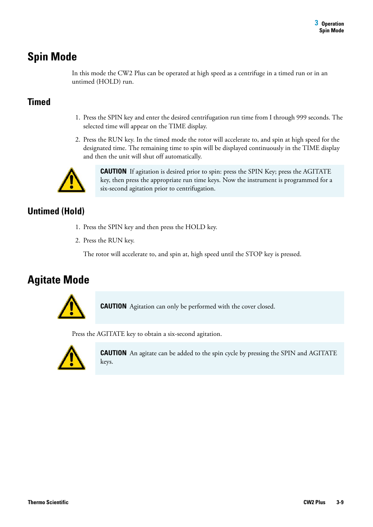## <span id="page-21-0"></span>**Spin Mode**

In this mode the CW2 Plus can be operated at high speed as a centrifuge in a timed run or in an untimed (HOLD) run.

#### **Timed**

- 1. Press the SPIN key and enter the desired centrifugation run time from I through 999 seconds. The selected time will appear on the TIME display.
- 2. Press the RUN key. In the timed mode the rotor will accelerate to, and spin at high speed for the designated time. The remaining time to spin will be displayed continuously in the TIME display and then the unit will shut off automatically.



**CAUTION** If agitation is desired prior to spin: press the SPIN Key; press the AGITATE key, then press the appropriate run time keys. Now the instrument is programmed for a six-second agitation prior to centrifugation.

### **Untimed (Hold)**

- 1. Press the SPIN key and then press the HOLD key.
- 2. Press the RUN key.

The rotor will accelerate to, and spin at, high speed until the STOP key is pressed.

## <span id="page-21-1"></span>**Agitate Mode**



**CAUTION** Agitation can only be performed with the cover closed.

Press the AGITATE key to obtain a six-second agitation.



**CAUTION** An agitate can be added to the spin cycle by pressing the SPIN and AGITATE keys.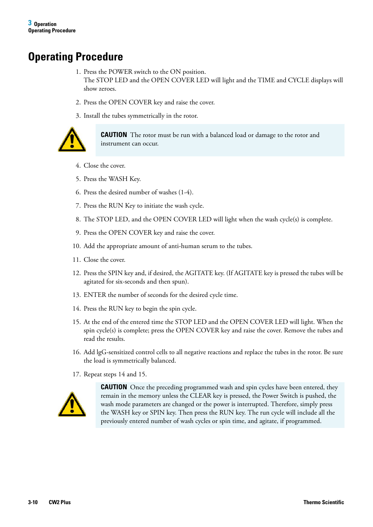## <span id="page-22-0"></span>**Operating Procedure**

- 1. Press the POWER switch to the ON position. The STOP LED and the OPEN COVER LED will light and the TIME and CYCLE displays will show zeroes.
- 2. Press the OPEN COVER key and raise the cover.
- 3. Install the tubes symmetrically in the rotor.



**CAUTION** The rotor must be run with a balanced load or damage to the rotor and instrument can occur.

- 4. Close the cover.
- 5. Press the WASH Key.
- 6. Press the desired number of washes (1-4).
- 7. Press the RUN Key to initiate the wash cycle.
- 8. The STOP LED, and the OPEN COVER LED will light when the wash cycle(s) is complete.
- 9. Press the OPEN COVER key and raise the cover.
- 10. Add the appropriate amount of anti-human serum to the tubes.
- 11. Close the cover.
- 12. Press the SPIN key and, if desired, the AGITATE key. (If AGITATE key is pressed the tubes will be agitated for six-seconds and then spun).
- 13. ENTER the number of seconds for the desired cycle time.
- 14. Press the RUN key to begin the spin cycle.
- 15. At the end of the entered time the STOP LED and the OPEN COVER LED will light. When the spin cycle(s) is complete; press the OPEN COVER key and raise the cover. Remove the tubes and read the results.
- 16. Add lgG-sensitized control cells to all negative reactions and replace the tubes in the rotor. Be sure the load is symmetrically balanced.
- 17. Repeat steps 14 and 15.



**CAUTION** Once the preceding programmed wash and spin cycles have been entered, they remain in the memory unless the CLEAR key is pressed, the Power Switch is pushed, the wash mode parameters are changed or the power is interrupted. Therefore, simply press the WASH key or SPIN key. Then press the RUN key. The run cycle will include all the previously entered number of wash cycles or spin time, and agitate, if programmed.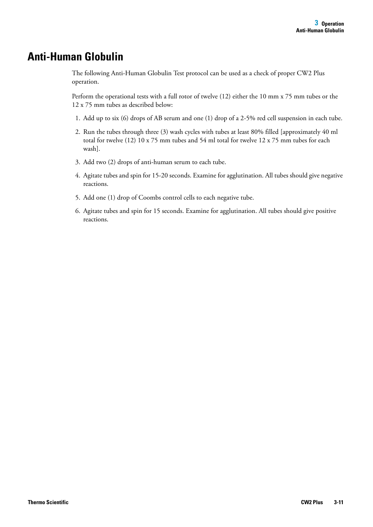## <span id="page-23-0"></span>**Anti-Human Globulin**

The following Anti-Human Globulin Test protocol can be used as a check of proper CW2 Plus operation.

Perform the operational tests with a full rotor of twelve (12) either the 10 mm x 75 mm tubes or the 12 x 75 mm tubes as described below:

- 1. Add up to six (6) drops of AB serum and one (1) drop of a 2-5% red cell suspension in each tube.
- 2. Run the tubes through three (3) wash cycles with tubes at least 80% filled [approximately 40 ml total for twelve (12) 10 x 75 mm tubes and 54 ml total for twelve 12 x 75 mm tubes for each wash].
- 3. Add two (2) drops of anti-human serum to each tube.
- 4. Agitate tubes and spin for 15-20 seconds. Examine for agglutination. All tubes should give negative reactions.
- 5. Add one (1) drop of Coombs control cells to each negative tube.
- 6. Agitate tubes and spin for 15 seconds. Examine for agglutination. All tubes should give positive reactions.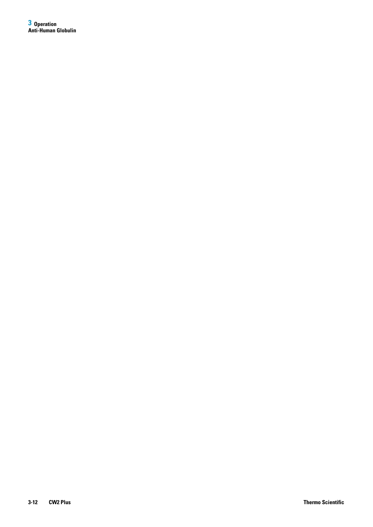**3 Operation Anti-Human Globulin**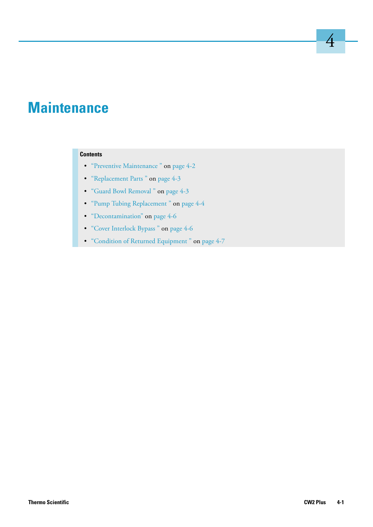# <span id="page-25-0"></span>**Maintenance**

#### **Contents**

- **•** ["Preventive Maintenance " on page](#page-26-0) 4-2
- **•** ["Replacement Parts " on page](#page-27-0) 4-3
- **•** ["Guard Bowl Removal " on page](#page-27-1) 4-3
- **•** ["Pump Tubing Replacement " on page](#page-28-0) 4-4
- **•** ["Decontamination" on page](#page-30-0) 4-6
- **•** ["Cover Interlock Bypass " on page](#page-30-1) 4-6
- **•** ["Condition of Returned Equipment " on page](#page-31-0) 4-7

4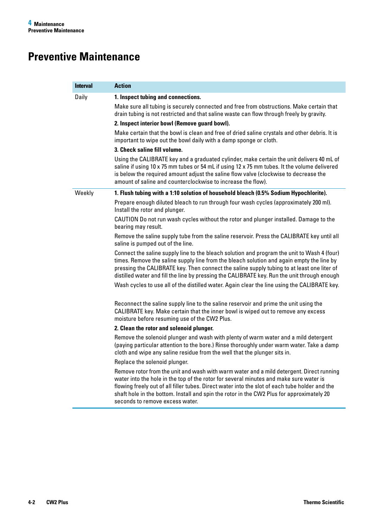## <span id="page-26-0"></span>**Preventive Maintenance**

| <b>Interval</b> | <b>Action</b>                                                                                                                                                                                                                                                                                                                                                                                                        |
|-----------------|----------------------------------------------------------------------------------------------------------------------------------------------------------------------------------------------------------------------------------------------------------------------------------------------------------------------------------------------------------------------------------------------------------------------|
| Daily           | 1. Inspect tubing and connections.                                                                                                                                                                                                                                                                                                                                                                                   |
|                 | Make sure all tubing is securely connected and free from obstructions. Make certain that<br>drain tubing is not restricted and that saline waste can flow through freely by gravity.                                                                                                                                                                                                                                 |
|                 | 2. Inspect interior bowl (Remove guard bowl).                                                                                                                                                                                                                                                                                                                                                                        |
|                 | Make certain that the bowl is clean and free of dried saline crystals and other debris. It is<br>important to wipe out the bowl daily with a damp sponge or cloth.                                                                                                                                                                                                                                                   |
|                 | 3. Check saline fill volume.                                                                                                                                                                                                                                                                                                                                                                                         |
|                 | Using the CALIBRATE key and a graduated cylinder, make certain the unit delivers 40 mL of<br>saline if using 10 x 75 mm tubes or 54 mL if using 12 x 75 mm tubes. It the volume delivered<br>is below the required amount adjust the saline flow valve (clockwise to decrease the<br>amount of saline and counterclockwise to increase the flow).                                                                    |
| Weekly          | 1. Flush tubing with a 1:10 solution of household bleach (0.5% Sodium Hypochlorite).                                                                                                                                                                                                                                                                                                                                 |
|                 | Prepare enough diluted bleach to run through four wash cycles (approximately 200 ml).<br>Install the rotor and plunger.                                                                                                                                                                                                                                                                                              |
|                 | CAUTION Do not run wash cycles without the rotor and plunger installed. Damage to the<br>bearing may result.                                                                                                                                                                                                                                                                                                         |
|                 | Remove the saline supply tube from the saline reservoir. Press the CALIBRATE key until all<br>saline is pumped out of the line.                                                                                                                                                                                                                                                                                      |
|                 | Connect the saline supply line to the bleach solution and program the unit to Wash 4 (four)<br>times. Remove the saline supply line from the bleach solution and again empty the line by<br>pressing the CALIBRATE key. Then connect the saline supply tubing to at least one liter of<br>distilled water and fill the line by pressing the CALIBRATE key. Run the unit through enough                               |
|                 | Wash cycles to use all of the distilled water. Again clear the line using the CALIBRATE key.                                                                                                                                                                                                                                                                                                                         |
|                 | Reconnect the saline supply line to the saline reservoir and prime the unit using the<br>CALIBRATE key. Make certain that the inner bowl is wiped out to remove any excess<br>moisture before resuming use of the CW2 Plus.                                                                                                                                                                                          |
|                 | 2. Clean the rotor and solenoid plunger.                                                                                                                                                                                                                                                                                                                                                                             |
|                 | Remove the solenoid plunger and wash with plenty of warm water and a mild detergent<br>(paying particular attention to the bore.) Rinse thoroughly under warm water. Take a damp<br>cloth and wipe any saline residue from the well that the plunger sits in.                                                                                                                                                        |
|                 | Replace the solenoid plunger.                                                                                                                                                                                                                                                                                                                                                                                        |
|                 | Remove rotor from the unit and wash with warm water and a mild detergent. Direct running<br>water into the hole in the top of the rotor for several minutes and make sure water is<br>flowing freely out of all filler tubes. Direct water into the slot of each tube holder and the<br>shaft hole in the bottom. Install and spin the rotor in the CW2 Plus for approximately 20<br>seconds to remove excess water. |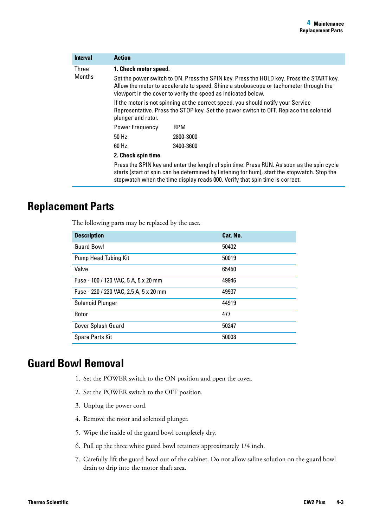| <b>Interval</b> | <b>Action</b>          |                                                                                                                                                                                                                                                                            |
|-----------------|------------------------|----------------------------------------------------------------------------------------------------------------------------------------------------------------------------------------------------------------------------------------------------------------------------|
| Three           | 1. Check motor speed.  |                                                                                                                                                                                                                                                                            |
| <b>Months</b>   |                        | Set the power switch to ON. Press the SPIN key. Press the HOLD key. Press the START key.<br>Allow the motor to accelerate to speed. Shine a stroboscope or tachometer through the<br>viewport in the cover to verify the speed as indicated below.                         |
|                 | plunger and rotor.     | If the motor is not spinning at the correct speed, you should notify your Service<br>Representative. Press the STOP key. Set the power switch to OFF. Replace the solenoid                                                                                                 |
|                 | <b>Power Frequency</b> | <b>RPM</b>                                                                                                                                                                                                                                                                 |
|                 | 50 Hz                  | 2800-3000                                                                                                                                                                                                                                                                  |
|                 | 60 Hz                  | 3400-3600                                                                                                                                                                                                                                                                  |
|                 | 2. Check spin time.    |                                                                                                                                                                                                                                                                            |
|                 |                        | Press the SPIN key and enter the length of spin time. Press RUN. As soon as the spin cycle<br>starts (start of spin can be determined by listening for hum), start the stopwatch. Stop the<br>stopwatch when the time display reads 000. Verify that spin time is correct. |

## <span id="page-27-0"></span>**Replacement Parts**

The following parts may be replaced by the user.

| <b>Description</b>                     | Cat. No. |
|----------------------------------------|----------|
| <b>Guard Bowl</b>                      | 50402    |
| <b>Pump Head Tubing Kit</b>            | 50019    |
| Valve                                  | 65450    |
| Fuse - 100 / 120 VAC, 5 A, 5 x 20 mm   | 49946    |
| Fuse - 220 / 230 VAC, 2.5 A, 5 x 20 mm | 49937    |
| Solenoid Plunger                       | 44919    |
| Rotor                                  | 477      |
| <b>Cover Splash Guard</b>              | 50247    |
| <b>Spare Parts Kit</b>                 | 50008    |

### <span id="page-27-1"></span>**Guard Bowl Removal**

- 1. Set the POWER switch to the ON position and open the cover.
- 2. Set the POWER switch to the OFF position.
- 3. Unplug the power cord.
- 4. Remove the rotor and solenoid plunger.
- 5. Wipe the inside of the guard bowl completely dry.
- 6. Pull up the three white guard bowl retainers approximately 1/4 inch.
- 7. Carefully lift the guard bowl out of the cabinet. Do not allow saline solution on the guard bowl drain to drip into the motor shaft area.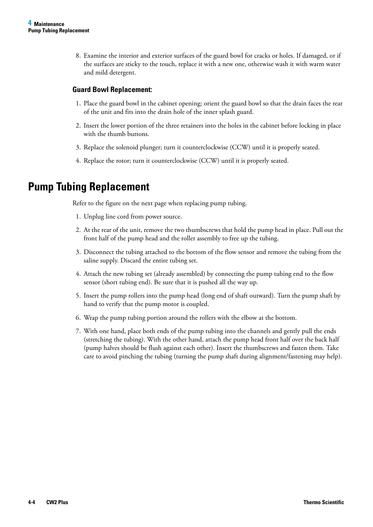8. Examine the interior and exterior surfaces of the guard bowl for cracks or holes. If damaged, or if the surfaces are sticky to the touch, replace it with a new one, otherwise wash it with warm water and mild detergent.

#### **Guard Bowl Replacement:**

- 1. Place the guard bowl in the cabinet opening; orient the guard bowl so that the drain faces the rear of the unit and fits into the drain hole of the inner splash guard.
- 2. Insert the lower portion of the three retainers into the holes in the cabinet before locking in place with the thumb buttons.
- 3. Replace the solenoid plunger; turn it counterclockwise (CCW) until it is properly seated.
- 4. Replace the rotor; turn it counterclockwise (CCW) until it is properly seated.

## <span id="page-28-0"></span>**Pump Tubing Replacement**

Refer to the figure on the next page when replacing pump tubing.

- 1. Unplug line cord from power source.
- 2. At the rear of the unit, remove the two thumbscrews that hold the pump head in place. Pull out the front half of the pump head and the roller assembly to free up the tubing.
- 3. Disconnect the tubing attached to the bottom of the flow sensor and remove the tubing from the saline supply. Discard the entire tubing set.
- 4. Attach the new tubing set (already assembled) by connecting the pump tubing end to the flow sensor (short tubing end). Be sure that it is pushed all the way up.
- 5. Insert the pump rollers into the pump head (long end of shaft outward). Turn the pump shaft by hand to verify that the pump motor is coupled.
- 6. Wrap the pump tubing portion around the rollers with the elbow at the bottom.
- 7. With one hand, place both ends of the pump tubing into the channels and gently pull the ends (stretching the tubing). With the other hand, attach the pump head front half over the back half (pump halves should be flush against each other). Insert the thumbscrews and fasten them. Take care to avoid pinching the tubing (turning the pump shaft during alignment/fastening may help).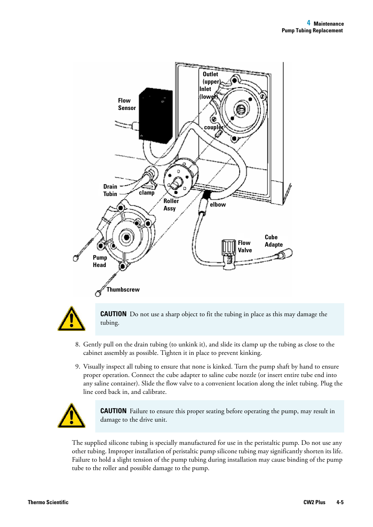



**CAUTION** Do not use a sharp object to fit the tubing in place as this may damage the tubing.

- 8. Gently pull on the drain tubing (to unkink it), and slide its clamp up the tubing as close to the cabinet assembly as possible. Tighten it in place to prevent kinking.
- 9. Visually inspect all tubing to ensure that none is kinked. Turn the pump shaft by hand to ensure proper operation. Connect the cube adapter to saline cube nozzle (or insert entire tube end into any saline container). Slide the flow valve to a convenient location along the inlet tubing. Plug the line cord back in, and calibrate.



**CAUTION** Failure to ensure this proper seating before operating the pump, may result in damage to the drive unit.

The supplied silicone tubing is specially manufactured for use in the peristaltic pump. Do not use any other tubing. Improper installation of peristaltic pump silicone tubing may significantly shorten its life. Failure to hold a slight tension of the pump tubing during installation may cause binding of the pump tube to the roller and possible damage to the pump.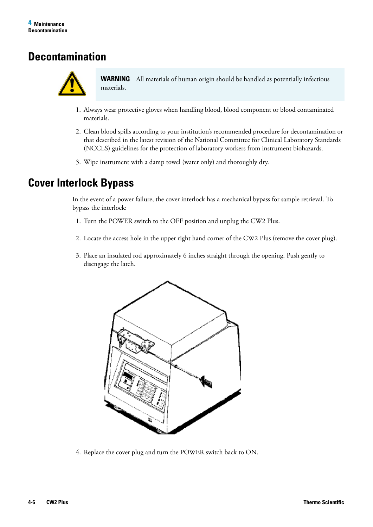## <span id="page-30-0"></span>**Decontamination**



**WARNING** All materials of human origin should be handled as potentially infectious materials.

- 1. Always wear protective gloves when handling blood, blood component or blood contaminated materials.
- 2. Clean blood spills according to your institution's recommended procedure for decontamination or that described in the latest revision of the National Committee for Clinical Laboratory Standards (NCCLS) guidelines for the protection of laboratory workers from instrument biohazards.
- 3. Wipe instrument with a damp towel (water only) and thoroughly dry.

### <span id="page-30-1"></span>**Cover Interlock Bypass**

In the event of a power failure, the cover interlock has a mechanical bypass for sample retrieval. To bypass the interlock:

- 1. Turn the POWER switch to the OFF position and unplug the CW2 Plus.
- 2. Locate the access hole in the upper right hand corner of the CW2 Plus (remove the cover plug).
- 3. Place an insulated rod approximately 6 inches straight through the opening. Push gently to disengage the latch.



4. Replace the cover plug and turn the POWER switch back to ON.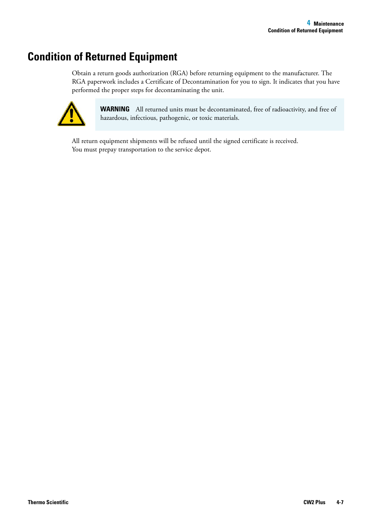## <span id="page-31-0"></span>**Condition of Returned Equipment**

Obtain a return goods authorization (RGA) before returning equipment to the manufacturer. The RGA paperwork includes a Certificate of Decontamination for you to sign. It indicates that you have performed the proper steps for decontaminating the unit.



**WARNING** All returned units must be decontaminated, free of radioactivity, and free of hazardous, infectious, pathogenic, or toxic materials.

All return equipment shipments will be refused until the signed certificate is received. You must prepay transportation to the service depot.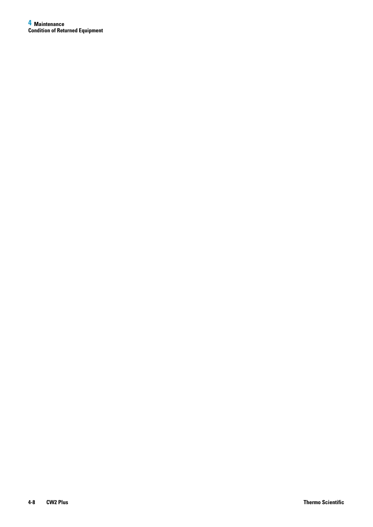**4 Maintenance Condition of Returned Equipment**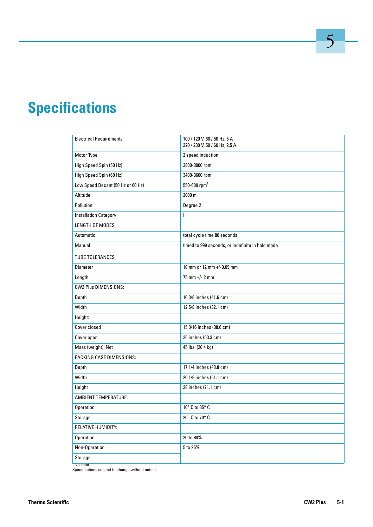5

# <span id="page-33-0"></span>**Specifications**

| <b>Electrical Requirements</b>    | 100 / 120 V, 60 / 50 Hz, 5 A<br>220 / 230 V, 50 / 60 Hz, 2.5 A |
|-----------------------------------|----------------------------------------------------------------|
| Motor Type                        | 2 speed induction                                              |
| High Speed Spin (50 Hz)           | 2800-3000 rpm <sup>1</sup>                                     |
| High Speed Spin (60 Hz)           | 3400-3600 rpm <sup>1</sup>                                     |
| Low Speed Decant (50 Hz or 60 Hz) | 550-600 $rpm1$                                                 |
| Altitude                          | 2000 m                                                         |
| Pollution                         | Degree 2                                                       |
| <b>Installation Category</b>      | Ш                                                              |
| <b>LENGTH OF MODES:</b>           |                                                                |
| Automatic                         | total cycle time 80 seconds                                    |
| Manual                            | timed to 999 seconds, or indefinite in hold mode               |
| TUBE TOLERANCES:                  |                                                                |
| <b>Diameter</b>                   | 10 mm or 12 mm +/-0.09 mm                                      |
| Length                            | $75$ mm +/- 2 mm                                               |
| <b>CW2 Plus DIMENSIONS:</b>       |                                                                |
| Depth                             | 16 3/8 inches (41.6 cm)                                        |
| Width                             | 12 5/8 inches (32.1 cm)                                        |
| Height:                           |                                                                |
| Cover closed                      | 15 3/16 inches (38.6 cm)                                       |
| Cover open                        | 25 inches (63.3 cm)                                            |
| Mass (weight): Net                | 45 lbs. (20.4 kg)                                              |
| PACKING CASE DIMENSIONS:          |                                                                |
| Depth                             | 17 1/4 inches (43.8 cm)                                        |
| Width                             | 20 1/8 inches (51.1 cm)                                        |
| Height                            | 28 inches (71.1 cm)                                            |
| <b>AMBIENT TEMPERATURE:</b>       |                                                                |
| Operation                         | 10° C to 35° C                                                 |
| Storage                           | 20° C to 70° C                                                 |
| RELATIVE HUMIDITY:                |                                                                |
| Operation                         | 20 to 90%                                                      |
| Non-Operation                     | 5 to 95%                                                       |
| Storage                           |                                                                |

<span id="page-33-1"></span><sup>4</sup> No Load<br>Specifications subject to change without notice.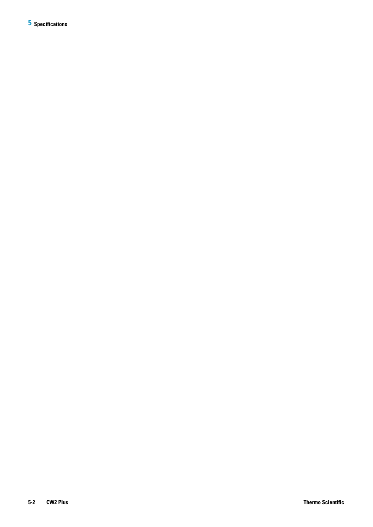#### **5 Specifications**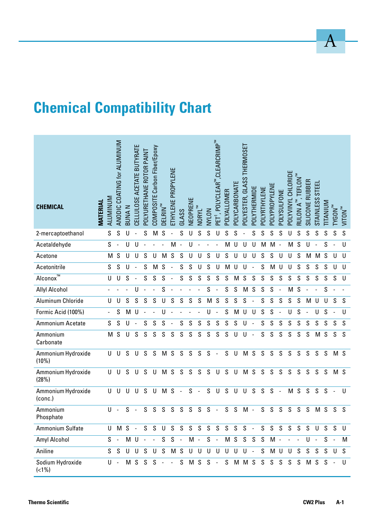# <span id="page-35-0"></span>**Chemical Compatibility Chart**

| <b>CHEMICAL</b>                         | <b>MATERIAL</b> | ALUMINUM | ANODIC COATING for ALUMINUM | <b>BUNAN</b> | ш<br>CELLULOSE ACETATE BUTYRATI | POLYURETHANE ROTOR PAINT | TE Carbon Fiber/Epoxy<br>COMPOSI                                    | <b>DELRIN<sup>™</sup></b> | <b>ETHYLENE PROPYLENE</b> | GLASS                    | VEOPRENE | NORYL <sup>™</sup> | NYLON | PET', POLYCLEAR"', CLEARCRIMP" | POLYALLOMER | POLYCARBONATE | GLASS THERMOSET<br>POLYESTER, | POLYTHERMIDE | <b>POLYRTHYLENE</b> | ш<br><b>DUYPROPYLEN</b> | POLYSULFONE              | POLYVINYL CHLORIDE | , TEFLON™<br>RULON A <sup>™</sup> . | SILICONE RUBBER     | <b>STEEL</b><br>STAINLESS | ITANIUM | <b>TYGON</b> <sup>TM</sup> | VITON <sup>™</sup> |
|-----------------------------------------|-----------------|----------|-----------------------------|--------------|---------------------------------|--------------------------|---------------------------------------------------------------------|---------------------------|---------------------------|--------------------------|----------|--------------------|-------|--------------------------------|-------------|---------------|-------------------------------|--------------|---------------------|-------------------------|--------------------------|--------------------|-------------------------------------|---------------------|---------------------------|---------|----------------------------|--------------------|
| 2-mercaptoethanol                       |                 | S        | S                           | U            |                                 | S                        | М                                                                   | S                         |                           | S                        | U        | S                  | S     |                                | S           | S             |                               |              | S                   | S                       | S                        |                    | S                                   | S                   | S                         | S       | S                          | S                  |
| Acetaldehyde                            |                 | S        |                             | U            | U                               |                          |                                                                     |                           | M                         |                          | U        |                    |       |                                | M           | U             | U                             | U            | M                   | M                       |                          | M                  | S                                   | U                   |                           | S       |                            | U                  |
| Acetone                                 |                 | M        | S                           | U            |                                 | S                        | U                                                                   | M                         | S                         | S                        | U        | U                  | S     | U                              | S           | U             | U                             | U            | S                   | S                       | U                        | U                  | S                                   | M                   | M                         | S       | U                          | $\cup$             |
| Acetonitrile                            |                 | S        | S                           | U            |                                 | S                        | M                                                                   | S                         |                           | S                        | S        | U                  | S     | U                              | M           | U             | U                             |              | S                   | M                       | U                        | U                  | S                                   | S                   | S                         | S       | U                          | $\cup$             |
| $\overline{\text{Alconox}^{\text{TM}}}$ |                 | U        | U                           | S            |                                 | S                        | S                                                                   | S                         |                           | S                        | S        | S                  | S     | S                              | S           | M             | S                             | S            | S                   | S                       | S                        | S                  | S                                   | S                   | S                         | S       | S                          | $\cup$             |
| Allyl Alcohol                           |                 |          |                             |              | U                               |                          |                                                                     | S                         |                           |                          |          |                    | S     |                                | S           | S             | M                             | S            | S                   | S                       |                          | M                  | S                                   |                     |                           | S       |                            |                    |
| Aluminum Chloride                       |                 | U        | U                           | S            | S                               | S                        | S                                                                   | U                         | S                         | S                        | S        | S                  | M     | S                              | S           | S             | S                             |              | S                   | S                       | S                        | S                  | S                                   | M                   | U                         | U       | S                          | S                  |
| Formic Acid (100%)                      |                 |          | S                           | M            | U                               |                          |                                                                     | U                         |                           |                          |          |                    | U     |                                | S           | M             | U                             | U            | S                   | S                       |                          | U                  | S                                   |                     | U                         | S       |                            | U                  |
| Ammonium Acetate                        |                 | S        | S                           | U            |                                 | S                        | S                                                                   | S                         |                           | S                        | S        | S                  | S     | S                              | S           | S             | U                             |              | S                   | S                       | S                        | S                  | S                                   | S                   | S                         | S       | S                          | S                  |
| Ammonium<br>Carbonate                   |                 | M        | S                           | U            | S                               | S                        | S                                                                   | S                         | S                         | S                        | S        | S                  | S     | S                              | S           | U             | U                             |              | S                   | S                       | S                        | S                  | S                                   | S                   | M                         | S       | S                          | S                  |
| Ammonium Hydroxide<br>(10%)             |                 | U        | U                           | S            | U                               | S                        | S                                                                   | M                         | S                         | S                        | S        | S                  | S     | L,                             | S           | U             | M                             | S            | S                   | S                       | S                        | S                  | S                                   | S                   | S                         | S       | M <sub>S</sub>             |                    |
| Ammonium Hydroxide<br>(28%)             |                 | U        | U                           | S            | U                               | S                        | U                                                                   | M                         | S                         | S                        | S        | S                  | S     | U                              | S           | U             | M                             | S            | S                   | S                       | S                        | S                  | S                                   | S                   | S                         | S       | M S                        |                    |
| Ammonium Hydroxide<br>(cone.)           |                 | U        | U                           | U            | U                               | S                        | U                                                                   | M                         | S                         | $\overline{\phantom{a}}$ | S        | $\overline{a}$     | S     | U                              | S           | U             | $\sf U$                       | S            | S                   | S                       | $\overline{\phantom{a}}$ | M                  | S                                   | S                   | S                         | S       | $\overline{a}$             | U                  |
| Ammonium<br>Phosphate                   |                 | U        | $\blacksquare$              | S            |                                 | S                        | S                                                                   | S                         | S                         | S                        | S        | S                  | S     |                                | S           | S             | M                             |              | S                   | S                       | S                        | S                  | S                                   | S                   | M                         | S       | S                          | S                  |
| Ammonium Sulfate                        |                 |          |                             | U M S -      |                                 |                          | $S \quad S \quad U \quad S \quad S \quad S \quad S \quad S \quad S$ |                           |                           |                          |          |                    |       |                                |             |               | $S S -$                       |              | S.                  |                         |                          |                    |                                     | $S$ $S$ $S$ $S$ $S$ | U                         | S.      | S                          | U                  |
| Amyl Alcohol                            |                 | $S -$    |                             |              | M U                             | $\sim$                   | $\sim$ $-$                                                          |                           | $S S -$                   |                          |          | M -                | $S -$ |                                |             |               | M S S S S                     |              |                     | M -                     |                          | $\sim$ $ \sim$ $-$ |                                     |                     | $U -$                     | $S -$   |                            | M                  |
| Aniline                                 |                 | S.       | -S                          | U U          |                                 | S                        | U                                                                   | S.                        | M S                       |                          |          |                    |       | U U U U U U U -                |             |               |                               |              | S                   |                         | M U U                    |                    | S                                   | S.                  | S                         | S       | U                          | S                  |
| Sodium Hydroxide<br>(21%)               |                 | U -      |                             |              |                                 | MSSS                     |                                                                     | $\blacksquare$            | $\sim$                    |                          |          |                    |       | $S$ M $S$ $S$ -                |             |               | S M M S S                     |              |                     |                         |                          |                    |                                     | S S S S M S S       |                           |         | $\sim 10^{-11}$            | U                  |

 $\bm{A}$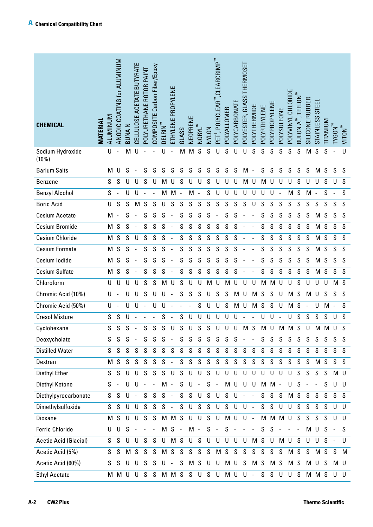| MATERIAL<br><b>CHEMICAL</b> | ALUMINUM | ANODIC COATING for ALUMINUM | <b>BUNAN</b> | CELLULOSE ACETATE BUTYRATE | POLYURETHANE ROTOR PAINT | Carbon Fiber/Epoxy<br><b>COMPOSITE</b> | <b>DELRIN<sup>™</sup></b> | ETHYLENE PROPYLENE       | GLASS                    | NEOPRENE      | NORYL <sup>™</sup>       | <b>NVLON</b>  | PET', POLYCLEAR", CLEARCRIMP" | POLYALLOMER | POLYCARBONATE | GLASS THERMOSET<br>POLYESTER, | POLYTHERMIDE             | POLYRTHYLENE | POLYPROPYLENE | POLYSULFONE | POLYVINYL CHLORIDE | <b>TEFLON<sup>™</sup></b><br>RULON A™. | SILICONE RUBBER          | <b>STEEL</b><br>STAINLESS | <b>TITANIUM</b> | <b>TYGON</b> <sup>™</sup> | <b>MLOUIA</b> |
|-----------------------------|----------|-----------------------------|--------------|----------------------------|--------------------------|----------------------------------------|---------------------------|--------------------------|--------------------------|---------------|--------------------------|---------------|-------------------------------|-------------|---------------|-------------------------------|--------------------------|--------------|---------------|-------------|--------------------|----------------------------------------|--------------------------|---------------------------|-----------------|---------------------------|---------------|
| Sodium Hydroxide<br>(10%)   | U        |                             | М            |                            |                          |                                        |                           |                          | M                        | М             | S                        | S             | U                             | S           |               |                               | S                        | S            | S             | S           | S                  | S                                      | M                        | S                         | S               |                           | U             |
| <b>Barium Salts</b>         | M        | U                           | S            | $\overline{\phantom{a}}$   | S                        | S                                      | S                         | S                        | S                        | S             | S                        | S             | S                             | S           | S             | M                             | $\overline{\phantom{a}}$ | S            | S             | S           | S                  | S                                      | S                        | M                         | S               | S                         | S             |
| <b>Benzene</b>              | S        | S                           | U            | U                          | S                        | U                                      | M                         | U                        | S                        | U             | U                        | S             | U                             |             | U             | М                             | U                        | М            | U             | U           | U                  | S                                      | U                        | U                         | S               | U                         | S             |
| <b>Benzyl Alcohol</b>       | S        | $\overline{a}$              | U            | U                          |                          |                                        | M                         | M                        | $\overline{\phantom{a}}$ | M             | $\overline{\phantom{a}}$ | S             | U                             | U           | U             | U                             | U                        | U            | U             |             | M                  | S                                      | M                        | $\overline{\phantom{a}}$  | S               | $\overline{a}$            | S             |
| <b>Boric Acid</b>           | U        | S                           | S            | M                          | S                        | S                                      | U                         | S                        | S                        | S             | S                        | S             | S                             | S           | S             | S                             | U                        | S            | S             | S           | S                  | S                                      | S                        | S                         | S               | S                         | S             |
| <b>Cesium Acetate</b>       | M        | $\overline{\phantom{a}}$    | S            |                            | S                        | S                                      | S                         |                          | S                        | S             | S                        | S             | $\overline{a}$                | S           | S             |                               |                          | S            | S             | S           | S                  | S                                      | S                        | M                         | $\mathsf S$     | $\mathsf S$               | $\mathsf S$   |
| <b>Cesium Bromide</b>       | M        | S                           | S            |                            | S                        | S                                      | S                         |                          | S                        | S             | S                        | S             | S                             | S           | S             |                               |                          | S            | S             | S           | S                  | S                                      | S                        | M                         | S               | S                         | S             |
| Cesium Chloride             | M        | S                           | S            | U                          | S                        | S                                      | S                         |                          | S                        | S             | S                        | S             | S                             | S           | S             |                               |                          | S            | S             | S           | S                  | S                                      | S                        | M                         | S               | $\mathsf S$               | S             |
| <b>Cesium Formate</b>       | M        | S                           | S            |                            | S                        | S                                      | S                         |                          | S                        | S             | S                        | S             | S                             | S           | S             |                               |                          | S            | S             | S           | S                  | S                                      | S                        | M                         | S               | S                         | S             |
| Cesium Iodide               | M        | S                           | S            |                            | S                        | S                                      | S                         |                          | S                        | S             | S                        | S             | S                             | S           | S             |                               |                          | S            | S             | S           | S                  | S                                      | S                        | M                         | S               | $\mathsf S$               | S             |
| <b>Cesium Sulfate</b>       | M        | S                           | S            |                            | S                        | S                                      | S                         |                          | S                        | S             | S                        | S             | S                             | S           | S             |                               |                          | S            | S             | S           | S                  | S                                      | S                        | M                         | S               | S                         | S             |
| Chloroform                  | U        | U                           | U            | U                          | S                        | S                                      | M                         | U                        | S                        | U             | U                        | M             | U                             | M           | U             | U                             | U                        | M            | M             | U           | U                  | S                                      | U                        | U                         | U               | M                         | <sub>S</sub>  |
| Chromic Acid (10%)          | U        |                             | U            | U                          | S                        | U                                      | U                         |                          | S                        | S             | S                        | U             | S                             | S           | M             | U                             | M                        | S            | S             | U           | M                  | S                                      | M                        | U                         | S               | S                         | S             |
| Chromic Acid (50%)          | U        | $\overline{a}$              | U            | U                          |                          | U                                      | U                         |                          |                          |               | S                        | U             | U                             | S           | M             | U                             | M                        | S            | S             | U           | M                  | S                                      | ÷,                       | U                         | M               | $\overline{\phantom{a}}$  | S             |
| <b>Cresol Mixture</b>       | S        | S                           | U            |                            |                          |                                        | S                         |                          | S                        | U             | U                        | U             | U                             |             | U             |                               |                          |              | U             |             | U                  | S                                      | S                        | S                         | S               | U                         | S             |
| Cyclohexane                 | S        | S                           | S            |                            | S                        | S                                      | S                         | U                        | S                        | U             | S                        | S             | U                             | U           | U             | M                             | S                        | M            | U             | M           | M                  | S                                      | U                        | M                         | M               | U                         | S             |
| Deoxycholate                | S        | S                           | S            |                            | S                        | S                                      | S                         |                          | S                        | S             | ${\sf S}$                | ${\mathsf S}$ | S                             | S           | S             |                               |                          | S            | S             | S           | S                  | S                                      | S                        | S                         | S               | S                         | S             |
| <b>Distilled Water</b>      | S        | S                           | S            | S                          | S                        | S                                      | S                         | S.                       | S                        | S             | S                        |               | S S                           | S           | S             | S                             | S                        | S            | S             | S           | S                  | $\mathsf S$                            | S                        | S.                        | S               | S.                        | S             |
| Dextran                     | М        | S                           | S            | S                          | S                        | S                                      | S                         | $\overline{\phantom{a}}$ | S.                       | S             | S                        | S             | S                             | $\mathsf S$ | S             | S                             | S                        | S            | S             | S           | ${\sf S}$          | S                                      | $\mathsf S$              | M S                       |                 | S S                       |               |
| Diethyl Ether               | S.       | S                           | $\sf U$      |                            | U S                      | S                                      | S                         | U                        | $\dot{\mathbf{s}}$       | U U           |                          |               | $S$ U                         | U U         |               | U                             | U                        | U            | U             | U           | U                  | S                                      | S                        | S                         | S               | M U                       |               |
| Diethyl Ketone              | S        | $\sim$                      | U            | U                          | $\overline{\phantom{a}}$ | $\overline{\phantom{a}}$               | M -                       |                          | S.                       | U             | $\sim$                   | $S -$         |                               |             | M U           | U                             | U                        |              | M M -         |             | U                  | S                                      | $\overline{\phantom{a}}$ |                           | S               | U                         | U             |
| Diethylpyrocarbonate        | S.       | S                           | U            | $\overline{\phantom{a}}$   | S                        | S                                      | S                         | $\blacksquare$           | S.                       | S             | U                        |               | S U                           | S           | $\sf U$       | $\overline{\phantom{a}}$      |                          | S            | S             | S           | M                  | ${\mathsf S}$                          | S                        | S                         | S               | S.                        | S             |
| Dimethylsulfoxide           | S        | S                           | U            | U                          | S                        | S                                      | S                         | $\overline{\phantom{a}}$ | S                        | $\mathsf{U}%$ | S                        | $\mathsf S$   | $\mathsf{U}%$                 | S           | $\cup$        | U                             | $\overline{\phantom{a}}$ | S            | S             | U           | $\cup$             | $\mathsf S$                            | S                        | S                         | S               | U                         | U             |
| Dioxane                     |          | M S                         | $\sf U$      |                            | U S                      | S                                      |                           | M M S                    |                          | U U           |                          |               | S U                           | M U         |               | U                             | $\sim$                   |              | M M M U       |             |                    | S                                      | S                        | S.                        | S               | U                         | U             |
| Ferric Chloride             | U        | U                           | S            | $\overline{\phantom{a}}$   |                          | $\overline{a}$                         |                           | M S                      | $\sim$                   | M -           |                          | $S -$         |                               | S           |               |                               |                          | S            | S             |             |                    | $\overline{\phantom{a}}$               |                          | M U                       | S               | $\overline{\phantom{a}}$  | S             |
| Acetic Acid (Glacial)       | S.       | S                           | U            | U                          | S                        | S                                      | U                         | M S                      |                          | U S           |                          | U             | $\mathsf{U}%$                 | U           | $\mathsf{U}%$ | U                             | M                        | S            | U             |             | M U                | S                                      | U                        | U                         | S               | $\blacksquare$            | U             |
| Acetic Acid (5%)            | S        | S                           | M S          |                            | S                        | S                                      | M                         | S                        | S                        | S             | ${\sf S}$                | ${\mathsf S}$ | M                             | S           | S             | S                             | S                        | S            | S             | S           | M S                |                                        | S                        | M S                       |                 | S                         | M             |
| Acetic Acid (60%)           | S.       | S                           | $\sf U$      | U                          | S.                       | S                                      | U                         | $\blacksquare$           | S                        |               | M S                      | U U           |                               |             | M U           | S                             | M <sub>S</sub>           |              | M S           |             | M S                |                                        |                          | M U                       | S               | M U                       |               |
| <b>Ethyl Acetate</b>        |          | M M U                       |              | U                          | S                        | S                                      |                           | M M S                    |                          | S             | $\sf U$                  | ${\mathsf S}$ | U                             | M U         |               | U                             | $\overline{\phantom{a}}$ | S            | S             | U           | $\mathsf{U}^-$     | S                                      |                          | M M S                     |                 | U U                       |               |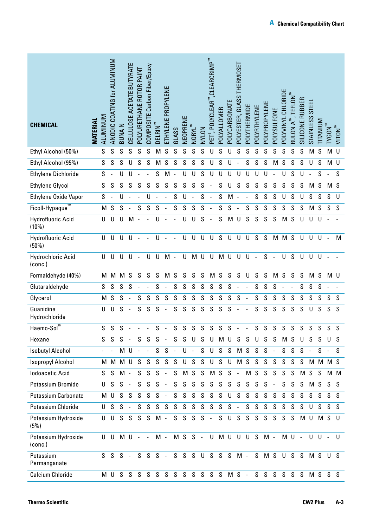| <b>CHEMICAL</b>                | MATERIAL | ALUMINUM | ANODIC COATING for ALUMINUM | <b>BUNAN</b> | CELLULOSE ACETATE BUTYRATE | POLYURETHANE ROTOR PAINT | Carbon Fiber/Epoxy<br>COMPOSITE | <b>DELRIN<sup>™</sup></b> | <b>ETHYLENE PROPYLENE</b> | GLASS          | <b>VEOPRENE</b> | NORYL <sup>™</sup>       | NVLON         | PET', POLYCLEAR", CLEARCRIMP"                                                                               | POLYALLOMER | POLYCARBONATE | GLASS THERMOSET<br>POLYESTER, | POLYTHERMIDE   | POLYRTHYLENE   | POLYPROPYLENE       | POLYSULFONE              | POLYVINYL CHLORIDE | <b>TEFLON<sup>™</sup></b><br>RULON A <sup>™</sup> . | SILICONE RUBBER | STEEL<br>STAINLESS | <b>ITANIUM</b> | <b>TYGON</b> <sup>™</sup> | <b>MLDU</b> |
|--------------------------------|----------|----------|-----------------------------|--------------|----------------------------|--------------------------|---------------------------------|---------------------------|---------------------------|----------------|-----------------|--------------------------|---------------|-------------------------------------------------------------------------------------------------------------|-------------|---------------|-------------------------------|----------------|----------------|---------------------|--------------------------|--------------------|-----------------------------------------------------|-----------------|--------------------|----------------|---------------------------|-------------|
| Ethyl Alcohol (50%)            |          | S        | S                           | S            | S                          | S                        | S                               | M                         | S                         | S              | S               | S                        | S             | U                                                                                                           | S           | U             | S                             | S              | S              | S                   | S                        | S                  | S                                                   | S               | М                  | S              | M U                       |             |
| Ethyl Alcohol (95%)            |          | S        | S                           | S            | U                          | S                        | S                               | M                         | S                         | S              | S               | S                        | S             | U                                                                                                           | S           | U             |                               | S              | S              | S                   | M                        | S                  | S                                                   | S               | U                  | S              | M U                       |             |
| <b>Ethylene Dichloride</b>     |          | S        |                             | U            | U                          |                          |                                 | S                         | M                         | ÷,             | U               | U                        | S             | U                                                                                                           | U           | U             | U                             | U              | U              | U                   |                          | U                  | S                                                   | U               |                    | S              |                           | S           |
| <b>Ethylene Glycol</b>         |          | S        | S                           | S            | S                          | S                        | S                               | S                         | S                         | S              | S               | S                        | S             |                                                                                                             | S           | U             | S                             | S              | S              | S                   | S                        | S                  | S                                                   | S               | M                  | S              | М                         | S           |
| Ethylene Oxide Vapor           |          | S        |                             | U            |                            |                          | U                               |                           |                           | S              | U               |                          | S             |                                                                                                             | S           | M             |                               |                | S              | S                   | S                        | U                  | S                                                   | U               | S                  | S              | S                         | $\cup$      |
| Ficoll-Hypaque <sup>™</sup>    |          | M        | S                           | S            |                            | S                        | S                               | S                         |                           | S              | S               | S                        | S             |                                                                                                             | S           | S             |                               | S              | S              | S                   | S                        | S                  | S                                                   | S               | M                  | S              | S                         | S           |
| Hydrofluoric Acid<br>(10%)     |          | U        | U                           | U            | M                          |                          |                                 | U                         |                           |                | U               | U                        | S             |                                                                                                             | S           | M             | U                             | S              | S              | S                   | S                        | M                  | S                                                   | U               | U                  | U              |                           |             |
| Hydrofluoric Acid<br>(50%)     |          | U        | U                           | U            | U                          |                          |                                 | U                         |                           |                | U               | U                        | U             | U                                                                                                           | S           | U             | U                             | U              | S              | S                   | M                        | м                  | S                                                   | U               | U                  | U              |                           | M           |
| Hydrochloric Acid<br>(conc.)   |          | U        | U                           | U            | U                          |                          | U                               | U                         | M                         | $\overline{a}$ | U               | M                        | $\mathsf{U}%$ | U                                                                                                           | M           | U             | U                             | $\cup$         | $\overline{a}$ | S                   | $\overline{a}$           | U                  | S                                                   | U               | U                  | U              |                           |             |
| Formaldehyde (40%)             |          | М        | M                           | M            | S                          | S                        | S                               | S                         | M                         | S              | S               | S                        | S             | M                                                                                                           | S           | S             | S                             | U              | S              | S                   | M                        | S                  | S                                                   | S               | M                  | S              | M U                       |             |
| Glutaraldehyde                 |          | S        | S                           | S            | S                          |                          |                                 | S                         |                           | S              | S               | S                        | S             | S                                                                                                           | S           | S             |                               |                | S              | S                   | S                        |                    |                                                     | S               | S                  | S              |                           |             |
| Glycerol                       |          | M        | S                           | S            |                            | S                        | S                               | S                         | S                         | S              | S               | S                        | S             | S                                                                                                           | S           | S             | S                             |                | S              | S                   | S                        | S                  | S                                                   | S               | S                  | S              | S                         | S           |
| Guanidine<br>Hydrochloride     |          | U        | U                           | S            |                            | S                        | S                               | S                         |                           | S              | S               | S                        | S             | S                                                                                                           | S           | S             |                               |                | S              | S                   | S                        | S                  | S                                                   | S               | U                  | S              | S                         | S           |
| Haemo-Sol <sup>™</sup>         |          | S        | S                           | S            |                            |                          |                                 | S                         |                           | S              | S               | S                        | S             | S                                                                                                           | S           | S             |                               |                | S              | S                   | S                        | S                  | S                                                   | S               | S                  | S              | S                         | S           |
| Hexane                         |          | S        | S                           | S            |                            | S                        | S                               | S                         | $\blacksquare$            | S              | S               | U                        | S             | U                                                                                                           | M U         |               | S                             | S              | U              | S                   | S                        | M S                |                                                     | U               | S                  | S              | U                         | S           |
| <b>Isobutyl Alcohol</b>        |          |          |                             | M U          |                            | $\blacksquare$           |                                 | S                         | S                         | $\blacksquare$ | U               | $\overline{\phantom{a}}$ | S             | U                                                                                                           | S           | S             | M S                           |                | S              | S                   | $\overline{\phantom{a}}$ | S                  | S                                                   | S               | $\frac{1}{2}$      | S              | $\overline{\phantom{a}}$  | S           |
| <b>Isopropyl Alcohol</b>       |          |          | M M                         | M U          |                            | S                        | S                               | S                         | S                         | S              | U               | S                        | $\mathsf S$   | U                                                                                                           | S           | U             | M <sub>S</sub>                |                | S              | S                   | $\mathsf S$              | S                  | S                                                   | S               |                    |                | M M M S                   |             |
| <b>Iodoacetic Acid</b>         |          | S        | S                           | M -          |                            | S                        | S                               | S                         | $\blacksquare$            | S              | M               | S                        | S             | M                                                                                                           | S           | S             | $\overline{\phantom{a}}$      | M <sub>S</sub> |                | S                   | S                        | S                  | S                                                   | М               | S                  | S              |                           | M M         |
| Potassium Bromide              |          | U        | S                           | S            | $\overline{\phantom{a}}$   | S                        | S                               | S                         | $\blacksquare$            | S              | S               | S                        | $\mathsf S$   | S                                                                                                           | S           | S             | S                             | S              | S              | S                   | $\blacksquare$           | S                  | S                                                   | S               | M <sub>S</sub>     |                | S                         | S           |
| Potassium Carbonate            |          | М        | U                           | S            | S                          | S                        | S                               | S                         | $\frac{1}{2}$             | S              | S               | S                        | $\mathsf S$   | S                                                                                                           | S           | U             | S                             | S              | S              | S                   | S                        | S                  | S                                                   | S               | S                  | S              | S                         | S           |
| Potassium Chloride             |          | U        | S                           | S            | $\blacksquare$             | S                        | S                               | S                         | S                         | S              | S               | S                        | S             | S                                                                                                           | S           | S             | $\overline{\phantom{a}}$      | S              | S              | S                   | $\mathsf S$              | S                  | S                                                   | S               | U                  | S              | S                         | S           |
| Potassium Hydroxide<br>(5%)    |          | U        | U                           | S            | S                          | S                        | S                               | M -                       |                           | S              | $\mathsf S$     | S                        | $\mathsf S$   | $\overline{a}$                                                                                              | S           | U             | S                             | S              | S              | S                   | S                        | S                  | S                                                   | M               | U                  | M <sub>S</sub> |                           | U           |
| Potassium Hydroxide<br>(conc.) |          | U        | U                           | M U          |                            | $\overline{\phantom{a}}$ |                                 | M -                       |                           |                | M S             | $S -$                    |               | U                                                                                                           |             | M U           | $\cup$                        | U              | S              | M -                 |                          |                    | M U                                                 | $\sim$ $-$      | U                  | U -            |                           | U           |
| Potassium<br>Permanganate      |          | S        | S                           | S            | $\sim$                     | S                        | S                               | S                         | $\overline{\phantom{a}}$  | S              | S               | S                        | $\mathsf{U}%$ | S                                                                                                           | S           | S             | M -                           |                | S              | M <sub>S</sub>      |                          | U                  | S                                                   | S               | M <sub>S</sub>     |                | U                         | - S         |
| <b>Calcium Chloride</b>        |          |          | M U                         |              |                            |                          |                                 |                           |                           |                |                 |                          |               | $S \quad S \quad S \quad S \quad S \quad S \quad S \quad S \quad S \quad S \quad S \quad M \quad S \quad -$ |             |               |                               |                |                | $S$ $S$ $S$ $S$ $S$ |                          |                    |                                                     | S               |                    |                | M S S S                   |             |
|                                |          |          |                             |              |                            |                          |                                 |                           |                           |                |                 |                          |               |                                                                                                             |             |               |                               |                |                |                     |                          |                    |                                                     |                 |                    |                |                           |             |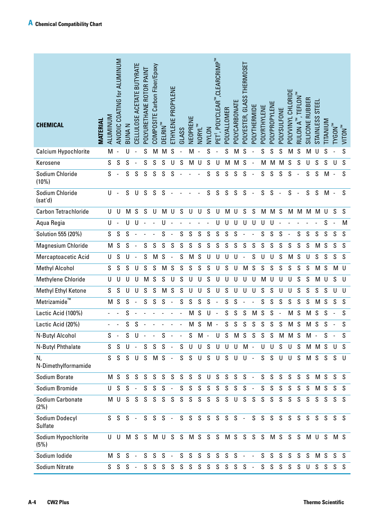| <b>CHEMICAL</b>             | MATERIAL | ALUMINUM      | ANODIC COATING for ALUMINUM | <b>BUNAN</b>        | CELLULOSE ACETATE BUTYRATE | POLYURETHANE ROTOR PAINT | COMPOSITE Carbon Fiber/Epoxy | <b>DELRIN™</b> | <b>ETHYLENE PROPYLENE</b> | GLASS | <b>VEOPRENE</b>                 | NORYL <sup>™</sup> | NVLON | PET <sup>1</sup> , POLYCLEAR <sup>"</sup> , CLEARCRIMP <sup>"</sup> | POLYALLOMER | <b>POLYCARBONATE</b> | GLASS THERMOSET<br>POLYESTER, | POLYTHERMIDE             | <b>JNJIANILRVIO</b> | <b>JN3TAGObACTO</b> | <b>3NO37NSS/TO-</b> | POLYVINYL CHLORIDE | TEFLON™<br>RULON A <sup>™</sup> , | <b>SILICONE RUBBER</b> | <b>STEEL</b><br>STAINLESS | <b>NUMNIL</b> | <b>TYGON</b> <sup>™</sup> | <b>MULIN</b> |
|-----------------------------|----------|---------------|-----------------------------|---------------------|----------------------------|--------------------------|------------------------------|----------------|---------------------------|-------|---------------------------------|--------------------|-------|---------------------------------------------------------------------|-------------|----------------------|-------------------------------|--------------------------|---------------------|---------------------|---------------------|--------------------|-----------------------------------|------------------------|---------------------------|---------------|---------------------------|--------------|
| <b>Calcium Hypochlorite</b> |          | M             |                             |                     |                            | S                        | м                            | М              | S                         |       | М                               |                    | S     |                                                                     | S           | м                    | S                             |                          |                     | S                   | S                   |                    | S                                 |                        |                           | S             |                           | S            |
| Kerosene                    |          | S             | S                           | S                   |                            | S                        | S                            | S              | U                         | S     | M                               | U                  | S     | U                                                                   | М           | М                    | S                             |                          | м                   | м                   | М                   | S                  | S                                 | U                      | S                         | S             | U                         | S            |
| Sodium Chloride<br>(10%)    |          | S             |                             | S                   | S                          | S                        | S                            | S              | S                         |       |                                 |                    | S     | S                                                                   | S           | S                    | S                             |                          | S                   | S                   | S                   | S                  |                                   | S                      | S                         | M             |                           | S            |
| Sodium Chloride<br>(sat'd)  |          | U             |                             | S                   | U                          | S                        | S                            | S              |                           |       |                                 |                    | S     | S                                                                   | S           | S                    | S                             |                          | S                   | S                   |                     | S                  |                                   | S                      | S                         | M             |                           | S            |
| Carbon Tetrachloride        |          | U             | U                           | M                   | S                          | S                        | U                            | M              | U                         | S     | U                               | U                  | S     | U                                                                   | M           | U                    | S                             | S                        | M                   | M                   | S                   | M                  | M                                 | M                      | M                         | U             | S                         | S            |
| Aqua Regia                  |          | U             |                             | U                   | U                          |                          |                              | U              |                           |       |                                 |                    |       | U                                                                   | U           | U                    | U                             | U                        | U                   | U                   |                     |                    |                                   |                        |                           | S             |                           | M            |
| Solution 555 (20%)          |          | ${\mathsf S}$ | S                           | S                   |                            |                          |                              | S              |                           | S     | S                               | S                  | S     | S                                                                   | S           | S                    |                               |                          | S                   | S                   | S                   |                    | S                                 | S                      | S                         | S             | S                         | S            |
| Magnesium Chloride          |          | M             | S                           | S                   |                            | S                        | S                            | S              | S                         | S     | S                               | S                  | S     | S                                                                   | S           | S                    | S                             | S                        | S                   | S                   | S                   | S                  | S                                 | S                      | M                         | S             | S                         | S            |
| Mercaptoacetic Acid         |          | U             | S                           | U                   |                            | S                        | M                            | S              |                           | S     | M                               | S                  | U     | U                                                                   | U           | U                    |                               | S                        | U                   | U                   | S                   | M                  | S                                 | U                      | S                         | S             | S                         | S            |
| <b>Methyl Alcohol</b>       |          | S             | S                           | S                   | U                          | S                        | S                            | M              | S                         | S     | S                               | S                  | S     | U                                                                   | S           | U                    | M                             | S                        | S                   | S                   | S                   | S                  | S                                 | S                      | M                         | S             | M                         | U            |
| Methylene Chloride          |          | U             | U                           | U                   | U                          | М                        | S                            | S              | U                         | S     | U                               | U                  | S     | U                                                                   | U           | U                    | U                             | U                        | M                   | U                   | U                   | U                  | S                                 | S                      | M                         | U             | S                         | U            |
| Methyl Ethyl Ketone         |          | S             | S                           | U                   | U                          | S                        | S                            | M              | S                         | S     | U                               | U                  | S     | U                                                                   | S           | U                    | U                             | U                        | S                   | S                   | U                   | U                  | S                                 | S                      | S                         | S             | U                         | U            |
| $Metrizamide^{\pi}$         |          | M             | S                           | S                   |                            | S                        | S                            | S              |                           | S     | S                               | S                  | S     |                                                                     | S           | S                    |                               |                          | S                   | S                   | S                   | S                  | S                                 | S                      | M                         | S             | S                         | S            |
| Lactic Acid (100%)          |          |               |                             | S                   |                            |                          |                              |                |                           |       | Μ                               | S                  | U     |                                                                     | S           | S                    | S                             | M                        | S                   | S                   |                     | M                  | S                                 | M                      | S                         | S             |                           | S            |
| Lactic Acid (20%)           |          |               |                             | S                   | S                          |                          |                              |                |                           |       | M                               | S                  | M     |                                                                     | S           | S                    | S                             | S                        | S                   | S                   | S                   | M                  | S                                 | М                      | S                         | S             |                           | S            |
| N-Butyl Alcohol             |          | S             |                             | $\mathsf{S}$        | $\cup$                     |                          |                              | S              |                           |       | S                               | M -                |       | U                                                                   |             |                      | S M S S                       |                          | S S                 |                     |                     |                    |                                   | M M S M -              |                           | S             |                           | S            |
| N-Butyl Phthalate           |          | S.            | S.                          | $U -$               |                            | S                        | S.                           | $S -$          |                           |       | S U                             |                    | U S U |                                                                     | U           | U                    | M -                           |                          | U                   | U                   | S                   | U                  | S                                 |                        | M M S                     |               | U S                       |              |
| N,<br>N-Dimethylformamide   |          |               |                             | $S$ $S$ $S$ $U$ $S$ |                            |                          |                              |                |                           |       | MS-SSUSUSU                      |                    |       |                                                                     |             |                      |                               | $U -$                    |                     |                     |                     |                    |                                   |                        |                           |               | S S U U S M S S S U       |              |
| Sodium Borate               |          |               |                             | M S S S S S S       |                            |                          |                              |                |                           |       | $S$ $S$ $S$ $S$ $U$ $S$ $S$ $S$ |                    |       |                                                                     |             |                      | $S -$                         |                          |                     | S S                 |                     | S S                |                                   | S S                    |                           |               | M S S S                   |              |
| Sodium Bromide              |          |               |                             | $U$ S S -           |                            | <sub>S</sub>             | S                            | S              | $\sim$                    | S     | S                               | S                  | S     | S                                                                   | S           | S                    | S                             | $\overline{\phantom{a}}$ | S                   | S                   | S.                  | S                  | S                                 | S                      | M S                       |               | S S                       |              |
| Sodium Carbonate<br>$(2\%)$ |          |               |                             | MUSSS               |                            |                          | S                            | S              | S                         |       | $S$ $S$ $S$                     |                    |       | $S$ $S$ $S$ $U$                                                     |             |                      |                               | S S                      | S S                 |                     |                     |                    | $S$ $S$ $S$                       | S                      | S                         | S.            | S S                       |              |
| Sodium Dodecyl<br>Sulfate   |          |               |                             |                     |                            |                          |                              |                |                           |       |                                 |                    |       |                                                                     |             |                      |                               |                          |                     |                     |                     |                    |                                   |                        |                           |               |                           |              |
| Sodium Hypochlorite<br>(5%) |          |               |                             |                     |                            |                          |                              |                |                           |       |                                 |                    |       |                                                                     |             |                      |                               |                          |                     |                     |                     |                    |                                   |                        |                           |               |                           |              |
| Sodium Iodide               |          |               |                             | $M$ S S -           |                            | S.                       | S S                          |                | $\sim$                    |       | $S$ $S$ $S$ $S$ $S$ $S$ $S$ $-$ |                    |       |                                                                     |             |                      |                               | $\sim$ $-$               |                     | S S                 | S S                 |                    | S                                 | S.                     | M S                       |               | SS.                       |              |
| Sodium Nitrate              |          |               |                             | $S$ $S$ $S$ $-$     |                            | <sub>S</sub>             | S                            | S              | S                         | S     | S                               | S                  |       | $S$ $S$ $S$                                                         |             | S                    | $S -$                         |                          | S                   | S                   |                     |                    | $S$ $S$ $S$                       | $\cup$                 | S.                        | S             | S S                       |              |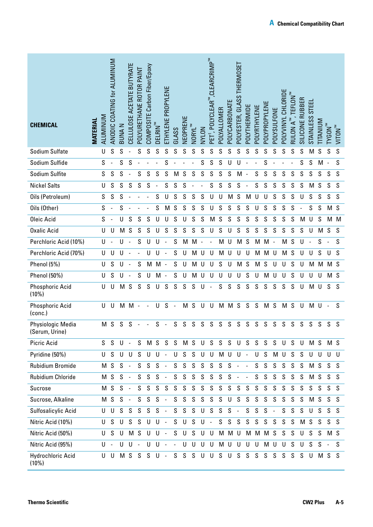| <b>CHEMICAL</b>                     | <b>MATERIAL</b> | ALUMINUM | ANODIC COATING for ALUMINUM | <b>BUNAN</b>   | CELLULOSE ACETATE BUTYRATE | POLYURETHANE ROTOR PAINT | Carbon Fiber/Epoxy<br>COMPOSITE | <b>DELRIN<sup>™</sup></b> | ETHYLENE PROPYLENE       | GLASS | NEOPRENE | NORYL <sup>™</sup> | <b>NATON</b>   | PET <sup>'</sup> , POLYCLEAR <sup>"</sup> , CLEARCRIMP <sup>"</sup> | POLYALLOMER | POLYCARBONATE | GLASS THERMOSET<br>POLYESTER, | POLYTHERMIDE             | POLYRTHYLENE | POLYPROPYLENE | POLYSULFONE              | POLYVINYL CHLORIDE | <b>TEFLON<sup>™</sup></b><br>RULON A <sup>™</sup> . | SILICONE RUBBER | STEEL<br>STAINLESS | <b>NUMNIL</b> | <b>TYGON</b> <sup>™</sup> | <b>MULIN</b> |
|-------------------------------------|-----------------|----------|-----------------------------|----------------|----------------------------|--------------------------|---------------------------------|---------------------------|--------------------------|-------|----------|--------------------|----------------|---------------------------------------------------------------------|-------------|---------------|-------------------------------|--------------------------|--------------|---------------|--------------------------|--------------------|-----------------------------------------------------|-----------------|--------------------|---------------|---------------------------|--------------|
| Sodium Sulfate                      |                 | U        | S                           | S              |                            | S                        | S                               | S                         | S                        | S     | S        | S                  | S              | S                                                                   | S           | S             | S                             | S                        | S            | S             | S                        | S                  | S                                                   | S               | M                  | S             | S                         | S            |
| Sodium Sulfide                      |                 | S        |                             | S              | S                          |                          |                                 |                           | S                        |       |          |                    | S              | S                                                                   | S           | U             | U                             |                          |              | S             |                          |                    |                                                     | S               | S                  | M             | $\overline{\phantom{a}}$  | S            |
| Sodium Sulfite                      |                 | S        | S                           | S              |                            | S                        | S                               | S                         | S                        | M     | S        | ${\mathsf S}$      | S              | S                                                                   | S           | S             | M                             |                          | S            | S             | S                        | S                  | S                                                   | S               | S                  | S             | S                         | S            |
| <b>Nickel Salts</b>                 |                 | U        | S                           | S              | S                          | S                        | S                               |                           | S                        | S     | S        |                    |                | S                                                                   | S           | S             | S                             |                          | S            | S             | S                        | S                  | S                                                   | S               | M                  | S             | S                         | S            |
| Oils (Petroleum)                    |                 | S        | S                           | S              |                            |                          |                                 | S                         | U                        | S     | S        | ${\mathsf S}$      | S              | U                                                                   | U           | M             | S                             | M                        | IJ           | U             | S                        | S                  | S                                                   | U               | S                  | S             | S                         | S            |
| Oils (Other)                        |                 | S        |                             | S              |                            |                          |                                 | S                         | M                        | S     | S        | S                  | S              | U                                                                   | S           | S             | S                             | S                        | U            | S             | S                        | S                  | S                                                   |                 | S                  | S             | M S                       |              |
| Oleic Acid                          |                 | S        |                             | U              | S                          | S                        | S                               | U                         | U                        | S     | U        | S                  | S              | M                                                                   | S           | S             | S                             | S                        | S            | S             | S                        | S                  | S                                                   | M               | U                  | S             |                           | M M          |
| <b>Oxalic Acid</b>                  |                 | U        | U                           | M              | S                          | S                        | S                               | U                         | S                        | S     | S        | S                  | S              | U                                                                   | S           | U             | S                             | S                        | S            | S             | S                        | S                  | S                                                   | S               | U                  | M             | S                         | S            |
| Perchloric Acid (10%)               |                 | U        |                             | U              |                            | S                        | U                               | U                         |                          | S     | M        | M                  | $\blacksquare$ |                                                                     | M           | U             | M                             | S                        | M            | M             | $\overline{\phantom{a}}$ | M                  | S                                                   | U               | $\overline{a}$     | S             | $\overline{\phantom{a}}$  | S            |
| Perchloric Acid (70%)               |                 | U        | U                           | U              |                            |                          | U                               | U                         |                          | S     | U        | М                  | U              | U                                                                   | M           | U             | U                             | U                        | M            | M             | U                        | M                  | S                                                   | U               | U                  | S             | U                         | S            |
| Phenol (5%)                         |                 | U        | S                           | U              |                            | S                        | М                               | M                         | $\overline{\phantom{a}}$ | S     | U        | М                  | U              | U                                                                   | S           | U             | M                             | S                        | M            | S             | U                        | U                  | S                                                   | U               | M                  | M             | M S                       |              |
| Phenol (50%)                        |                 | U        | S                           | U              |                            | S                        | U                               | M                         |                          | S     | U        | M                  | U              | U                                                                   | U           | U             | U                             | S                        | U            | M             | U                        | U                  | S                                                   | U               | U                  | U             | M S                       |              |
| Phosphoric Acid<br>(10%)            |                 | U        | U                           | M              | S                          | S                        | S                               | U                         | S                        | S     | S        | S                  | U              |                                                                     | S           | S             | S                             | S                        | S            | S             | S                        | S                  | S                                                   | U               | M                  | U             | S                         | S            |
| Phosphoric Acid<br>(cone.)          |                 | U        | U                           | M              | M                          |                          |                                 | U                         | S                        |       | M        | S                  | U              | U                                                                   | M           | M             | S                             | S                        | S            | M             | S                        | М                  | S                                                   | U               | M                  | U             | $\overline{\phantom{a}}$  | S            |
| Physiologic Media<br>(Serum, Urine) |                 | M        | S                           | S              | S                          |                          |                                 | S                         | L                        | S     | S        | $\mathsf S$        | S              | S                                                                   | S           | S             | S                             | S                        | S            | S             | S                        | S                  | S                                                   | S               | S                  | S             | S                         | S            |
| Picric Acid                         |                 | S        | S                           | U              | $\overline{\phantom{a}}$   | S                        | Μ                               | S                         | S                        | S     | M S      |                    | U              | S                                                                   | S           | S             | U                             | $\mathsf S$              | S            | S             | S                        | U                  | S                                                   | U               | M <sub>S</sub>     |               | M S                       |              |
| Pyridine (50%)                      |                 | U        | S                           | U              | U                          | S                        | U                               | U                         | $\overline{\phantom{a}}$ | U     | S        | S                  | U              | U                                                                   | M U         |               | U                             | $\overline{\phantom{a}}$ | U            | S             | М                        | U                  | S                                                   | S               | U                  | U             | U                         | U            |
| Rubidium Bromide                    |                 |          | M S                         | S              | $\overline{\phantom{a}}$   | S                        | S                               | S                         | $\blacksquare$           | S     | S        | S                  | $\mathsf S$    | S                                                                   | S           | S             | $\overline{\phantom{a}}$      | $\overline{a}$           | S            | S             | $\mathsf S$              | S                  | S                                                   | S               | M S                |               | S                         | S            |
| Rubidium Chloride                   |                 |          | M S                         | S              | $\overline{\phantom{a}}$   | S                        | S                               | S                         | $\overline{\phantom{a}}$ | S     | S        | S                  | $\mathsf S$    | S                                                                   | S           | S             | $\overline{\phantom{a}}$      |                          | S            | S             | S                        | S                  | S                                                   | S               | M <sub>S</sub>     |               | S                         | S            |
| Sucrose                             |                 |          | M S                         | S              | $\overline{\phantom{a}}$   | S                        | S                               | S                         | $\mathsf S$              | S     | S        | S                  | $\mathsf S$    | S                                                                   | S           | S             | S                             | S                        | S            | S             | S                        | S                  | S                                                   | S               | S                  | S             | S                         | S            |
| Sucrose, Alkaline                   |                 |          | M S                         | S              | $\overline{\phantom{a}}$   | S                        | S                               | S                         | $\overline{\phantom{a}}$ | S     | S        | S                  | ${\mathsf S}$  | S                                                                   | S           | U             | $\mathsf S$                   | S                        | S            | S             | S                        | S                  | S                                                   | S               | M <sub>S</sub>     |               | S                         | S            |
| Sulfosalicylic Acid                 |                 | U        | U                           | S              | S                          | S                        | S                               | S                         | $\blacksquare$           | S     | S        | S                  | U              | S                                                                   | $\mathsf S$ | S             | $\frac{1}{2}$                 | S                        | S            | S             | $\blacksquare$           | S                  | S                                                   | S               | U                  | S             | S                         | S            |
| Nitric Acid (10%)                   |                 | U        | S                           | U              | S                          | S                        | U                               | U                         | $\blacksquare$           | S     | U        | S                  | U              | $\overline{\phantom{a}}$                                            | S           | S             | S                             | ${\mathsf S}$            | S            | S             | S                        | S                  | S                                                   | M S             |                    | S             | S                         | S            |
| Nitric Acid (50%)                   |                 | U        | S                           | $\sf U$        | M S                        |                          | U                               | U                         | $\overline{\phantom{a}}$ | S     | U        | S                  | U              | U                                                                   |             | M M U         |                               |                          | M M          | M S           |                          | S                  | S                                                   | U               | S                  | S             | M <sub>S</sub>            |              |
| Nitric Acid (95%)                   |                 | U        | $\overline{\phantom{a}}$    | U              | U                          | $\overline{a}$           | U                               | U                         | $\frac{1}{2}$            |       | U        | U                  | U              | U                                                                   | M U         |               | U                             | U                        | U            | M U           |                          | U                  | S                                                   | U               | S                  | S             |                           | S            |
| Hydrochloric Acid<br>(10%)          |                 | U        | U                           | M <sub>S</sub> |                            | S                        | S                               | U                         | $\frac{1}{2}$            | S     | S        | S                  | U              | U                                                                   | S           | U             | S                             | S                        | S            | S             | S                        | S                  | S                                                   | S               | U                  | M S           |                           | -S           |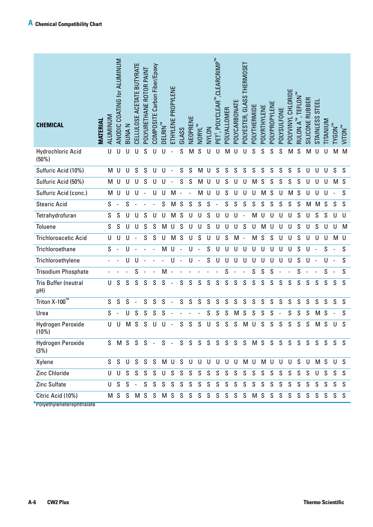| <b>CHEMICAL</b>                                | MATERIAL | ALUMINUM | ANODIC COATING for ALUMINUM | <b>BUNAN</b> | CELLULOSE ACETATE BUTYRATE | POLYURETHANE ROTOR PAINT | Carbon Fiber/Epoxy<br>COMPOSITE | <b>DELRIN<sup>™</sup></b> | ETHYLENE PROPYLENE | GLASS          | NEOPRENE | NORYL <sup>™</sup>                                                          | <b>NVLON</b> | PET <sup>'</sup> , POLYCLEAR <sup>"</sup> , CLEARCRIMP <sup>"</sup> | POLYALLOMER             | POLYCARBONATE | GLASS THERMOSET<br>POLYESTER, | POLYTHERMIDE | POLYRTHYLENE | POLYPROPYLENE | POLYSULFONE | POLYVINYL CHLORIDE | RULON A <sup>"</sup> , TEFLON <sup>™</sup> | SILICONE RUBBER | STEEL<br>STAINLESS | <b>NUNNILL</b> | <b>TYGON</b> <sup>™</sup> | <b>MLOUI</b>  |
|------------------------------------------------|----------|----------|-----------------------------|--------------|----------------------------|--------------------------|---------------------------------|---------------------------|--------------------|----------------|----------|-----------------------------------------------------------------------------|--------------|---------------------------------------------------------------------|-------------------------|---------------|-------------------------------|--------------|--------------|---------------|-------------|--------------------|--------------------------------------------|-----------------|--------------------|----------------|---------------------------|---------------|
| Hydrochloric Acid<br>(50%)                     |          | U        | U                           | U            | U                          | S                        | U                               | U                         |                    | S              | М        | S                                                                           | U            |                                                                     | М                       | U             |                               | S            | S            | S             | S           | M                  | S                                          | М               | U                  |                | м                         | M             |
| Sulfuric Acid (10%)                            |          | M U      |                             | U            | S                          | S                        | U                               | U                         |                    | S              | S        | M                                                                           | U            | S                                                                   | S                       | S             | S                             | S            | S            | S             | S           | S                  | S                                          | U               | U                  | U              | S                         | S             |
| Sulfuric Acid (50%)                            |          | M        | U                           | U            | U                          | S                        | U                               | U                         |                    | S              | S        | M                                                                           | U            | U                                                                   | S                       | U             | U                             | M            | S            | S             | S           | S                  | S                                          | U               | U                  | U              | M                         | S             |
| Sulfuric Acid (conc.)                          |          | M        | U                           | U            | U                          |                          | U                               | U                         | M                  | $\overline{a}$ |          | M                                                                           | U            | U                                                                   | S                       | U             | U                             | U            | M            | S             | U           | M                  | S                                          | U               | U                  | U              | $\overline{a}$            | S             |
| <b>Stearic Acid</b>                            |          | S        |                             | S            |                            |                          |                                 | S                         | M                  | S              | S        | ${\mathsf S}$                                                               | S            |                                                                     | S                       | S             | S                             | S            | S            | S             | S           | S                  | S                                          | M               | M                  | S              | S                         | S             |
| Tetrahydrofuran                                |          | S        | S                           | U            | U                          | S                        | U                               | U                         | M                  | S              | U        | U                                                                           | S            | U                                                                   | U                       | U             | $\overline{\phantom{a}}$      | M            | U            | U             | U           | U                  | S                                          | U               | S                  | S              | U                         | U             |
| <b>Toluene</b>                                 |          | S        | S                           | U            | U                          | S                        | S                               | M                         | U                  | S              | U        | U                                                                           | S            | U                                                                   | U                       | U             | S                             | U            | M            | U             | U           | U                  | S                                          | U               | S                  | U              | U                         | M             |
| <b>Trichloroacetic Acid</b>                    |          | U        | U                           | U            |                            | S                        | S                               | U                         | M                  | S              | U        | S                                                                           | U            | U                                                                   | S                       | M             | ÷,                            | M            | S            | S             | U           | U                  | S                                          | U               | U                  | U              | M                         | U             |
| Trichloroethane                                |          | S        |                             | U            |                            |                          |                                 | M                         | U                  |                | U        |                                                                             | S            | U                                                                   | U                       | U             | U                             | U            | U            | U             | U           | U                  | S                                          | U               |                    | S              |                           | S             |
| Trichloroethylene                              |          |          |                             | U            | U                          |                          |                                 |                           | U                  |                | U        |                                                                             | S            | U                                                                   | U                       | U             | U                             | U            | U            | U             | U           | U                  | S                                          | U               |                    | U              | $\overline{a}$            | S             |
| <b>Trisodium Phosphate</b>                     |          |          |                             |              | S                          |                          |                                 | M                         |                    |                |          |                                                                             |              |                                                                     | S                       |               |                               | S            | S            | S             |             |                    | S                                          |                 |                    | S              |                           | S             |
| Tris Buffer (neutral<br>pH)                    |          | U        | S                           | S            | S                          | S                        | S                               | S                         |                    | S              | S        | S                                                                           | S            | S                                                                   | S                       | S             | S                             | S            | S            | S             | S           | S                  | S                                          | S               | S                  | S              | S                         | $\mathsf{S}$  |
| Triton $X-100^{\text{TM}}$                     |          | S        | S                           | S            |                            | S                        | S                               | S                         |                    | S              | S        | S                                                                           | S            | S                                                                   | S                       | S             | S                             | S            | S            | S             | S           | S                  | S                                          | S               | S                  | S              | S                         | ${\mathsf S}$ |
| Urea                                           |          | S        |                             | U            | S                          | S                        | S                               | S                         |                    |                |          |                                                                             | S            | S                                                                   | S                       | M             | S                             | S            | S            | S             |             | S                  | S                                          | S               | М                  | S              | $\overline{a}$            | S             |
| Hydrogen Peroxide<br>(10%)                     |          | U        | U                           | M            | S                          | S                        | U                               | U                         |                    | S              | S        | S                                                                           | U            | S                                                                   | S                       | S             | M                             | U            | S            | S             | S           | S                  | S                                          | S               | M                  | S              | U                         | S             |
| Hydrogen Peroxide<br>(3%)                      |          | S        |                             | $M$ S S S -  |                            |                          |                                 |                           | $S -$              |                |          | $S \quad S \quad S \quad S \quad S \quad S \quad S \quad M \quad S \quad S$ |              |                                                                     |                         |               |                               |              |              |               |             | S S                | S                                          | S               |                    | S S            | S S                       |               |
| Xylene                                         |          | S.       | S.                          | U            | S                          | S.                       | S                               |                           | M U S U            |                |          | U                                                                           |              |                                                                     | UUUU                    |               |                               | M U          | M U          |               |             | U U                | S U                                        |                 |                    |                | M S U                     | S.            |
| Zinc Chloride                                  |          | U        | U                           | S            | S                          | S                        | S                               |                           | U S S              |                | S        | S                                                                           |              | S S                                                                 | S                       | S             |                               | S S          | S            | S             | S           | S                  | S                                          | S               | U                  | S              | S                         | S.            |
| Zinc Sulfate                                   |          | U        | S.                          | S            | $\sim$                     | S                        | S                               | S                         | S                  | S              | S        | S                                                                           | S            | S                                                                   | $\overline{\mathsf{s}}$ | S             | S                             | S            | S            | S             | S           | $\mathsf S$        | S                                          | S               | S.                 | S.             | S                         | S             |
| Citric Acid (10%)<br>Polyethyleneterephthalate |          |          | M S                         | S            |                            |                          |                                 |                           | M S S M S S S      |                |          |                                                                             |              |                                                                     | $S$ $S$ $S$ $S$         |               | S S M S                       |              |              | S             |             | S S                | S                                          | S               | S.                 | S.             | S                         | S.            |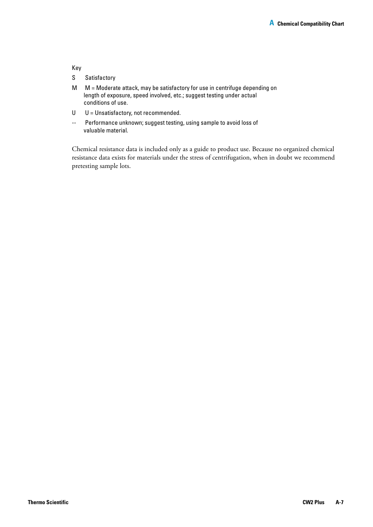#### M M = Moderate attack, may be satisfactory for use in centrifuge depending on length of exposure, speed involved, etc.; suggest testing under actual conditions of use. U U = Unsatisfactory, not recommended.

-- Performance unknown; suggest testing, using sample to avoid loss of valuable material.

Chemical resistance data is included only as a guide to product use. Because no organized chemical resistance data exists for materials under the stress of centrifugation, when in doubt we recommend pretesting sample lots.

#### Key

S Satisfactory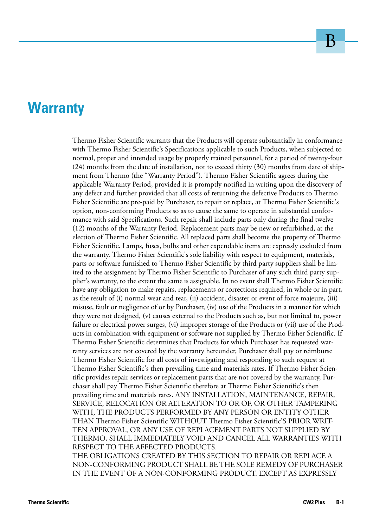## B

## <span id="page-42-0"></span>**Warranty**

Thermo Fisher Scientific warrants that the Products will operate substantially in conformance with Thermo Fisher Scientific's Specifications applicable to such Products, when subjected to normal, proper and intended usage by properly trained personnel, for a period of twenty-four (24) months from the date of installation, not to exceed thirty (30) months from date of shipment from Thermo (the "Warranty Period"). Thermo Fisher Scientific agrees during the applicable Warranty Period, provided it is promptly notified in writing upon the discovery of any defect and further provided that all costs of returning the defective Products to Thermo Fisher Scientific are pre-paid by Purchaser, to repair or replace, at Thermo Fisher Scientific's option, non-conforming Products so as to cause the same to operate in substantial conformance with said Specifications. Such repair shall include parts only during the final twelve (12) months of the Warranty Period. Replacement parts may be new or refurbished, at the election of Thermo Fisher Scientific. All replaced parts shall become the property of Thermo Fisher Scientific. Lamps, fuses, bulbs and other expendable items are expressly excluded from the warranty. Thermo Fisher Scientific's sole liability with respect to equipment, materials, parts or software furnished to Thermo Fisher Scientific by third party suppliers shall be limited to the assignment by Thermo Fisher Scientific to Purchaser of any such third party supplier's warranty, to the extent the same is assignable. In no event shall Thermo Fisher Scientific have any obligation to make repairs, replacements or corrections required, in whole or in part, as the result of (i) normal wear and tear, (ii) accident, disaster or event of force majeure, (iii) misuse, fault or negligence of or by Purchaser, (iv) use of the Products in a manner for which they were not designed, (v) causes external to the Products such as, but not limited to, power failure or electrical power surges, (vi) improper storage of the Products or (vii) use of the Products in combination with equipment or software not supplied by Thermo Fisher Scientific. If Thermo Fisher Scientific determines that Products for which Purchaser has requested warranty services are not covered by the warranty hereunder, Purchaser shall pay or reimburse Thermo Fisher Scientific for all costs of investigating and responding to such request at Thermo Fisher Scientific's then prevailing time and materials rates. If Thermo Fisher Scientific provides repair services or replacement parts that are not covered by the warranty, Purchaser shall pay Thermo Fisher Scientific therefore at Thermo Fisher Scientific's then prevailing time and materials rates. ANY INSTALLATION, MAINTENANCE, REPAIR, SERVICE, RELOCATION OR ALTERATION TO OR OF, OR OTHER TAMPERING WITH, THE PRODUCTS PERFORMED BY ANY PERSON OR ENTITY OTHER THAN Thermo Fisher Scientific WITHOUT Thermo Fisher Scientific'S PRIOR WRIT-TEN APPROVAL, OR ANY USE OF REPLACEMENT PARTS NOT SUPPLIED BY THERMO, SHALL IMMEDIATELY VOID AND CANCEL ALL WARRANTIES WITH RESPECT TO THE AFFECTED PRODUCTS. THE OBLIGATIONS CREATED BY THIS SECTION TO REPAIR OR REPLACE A NON-CONFORMING PRODUCT SHALL BE THE SOLE REMEDY OF PURCHASER

IN THE EVENT OF A NON-CONFORMING PRODUCT. EXCEPT AS EXPRESSLY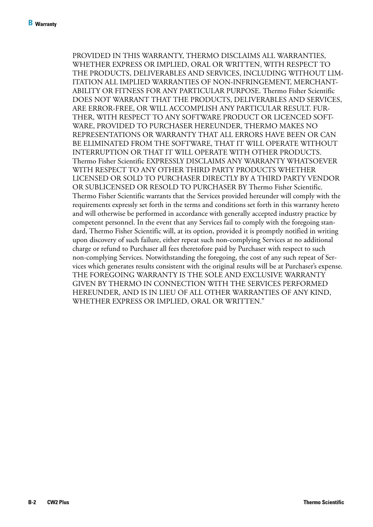PROVIDED IN THIS WARRANTY, THERMO DISCLAIMS ALL WARRANTIES, WHETHER EXPRESS OR IMPLIED, ORAL OR WRITTEN, WITH RESPECT TO THE PRODUCTS, DELIVERABLES AND SERVICES, INCLUDING WITHOUT LIM-ITATION ALL IMPLIED WARRANTIES OF NON-INFRINGEMENT, MERCHANT-ABILITY OR FITNESS FOR ANY PARTICULAR PURPOSE. Thermo Fisher Scientific DOES NOT WARRANT THAT THE PRODUCTS, DELIVERABLES AND SERVICES, ARE ERROR-FREE, OR WILL ACCOMPLISH ANY PARTICULAR RESULT. FUR-THER, WITH RESPECT TO ANY SOFTWARE PRODUCT OR LICENCED SOFT-WARE, PROVIDED TO PURCHASER HEREUNDER, THERMO MAKES NO REPRESENTATIONS OR WARRANTY THAT ALL ERRORS HAVE BEEN OR CAN BE ELIMINATED FROM THE SOFTWARE, THAT IT WILL OPERATE WITHOUT INTERRUPTION OR THAT IT WILL OPERATE WITH OTHER PRODUCTS. Thermo Fisher Scientific EXPRESSLY DISCLAIMS ANY WARRANTY WHATSOEVER WITH RESPECT TO ANY OTHER THIRD PARTY PRODUCTS WHETHER LICENSED OR SOLD TO PURCHASER DIRECTLY BY A THIRD PARTY VENDOR OR SUBLICENSED OR RESOLD TO PURCHASER BY Thermo Fisher Scientific. Thermo Fisher Scientific warrants that the Services provided hereunder will comply with the requirements expressly set forth in the terms and conditions set forth in this warranty hereto and will otherwise be performed in accordance with generally accepted industry practice by competent personnel. In the event that any Services fail to comply with the foregoing standard, Thermo Fisher Scientific will, at its option, provided it is promptly notified in writing upon discovery of such failure, either repeat such non-complying Services at no additional charge or refund to Purchaser all fees theretofore paid by Purchaser with respect to such non-complying Services. Notwithstanding the foregoing, the cost of any such repeat of Services which generates results consistent with the original results will be at Purchaser's expense. THE FOREGOING WARRANTY IS THE SOLE AND EXCLUSIVE WARRANTY GIVEN BY THERMO IN CONNECTION WITH THE SERVICES PERFORMED HEREUNDER, AND IS IN LIEU OF ALL OTHER WARRANTIES OF ANY KIND, WHETHER EXPRESS OR IMPLIED, ORAL OR WRITTEN."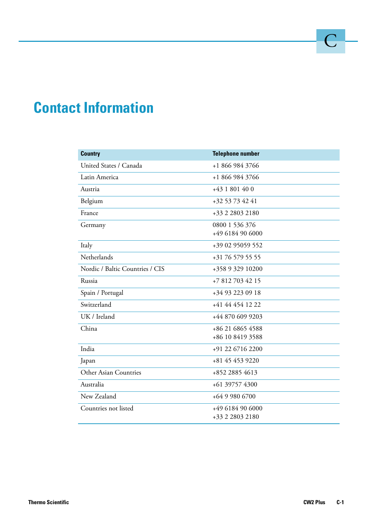# <span id="page-44-0"></span>**Contact Information**

| <b>Country</b>                  | <b>Telephone number</b> |
|---------------------------------|-------------------------|
| United States / Canada          | +1 866 984 3766         |
| Latin America                   | +1 866 984 3766         |
| Austria                         | +43 1 801 40 0          |
| Belgium                         | +32 53 73 42 41         |
| France                          | +33 2 2803 2180         |
| Germany                         | 0800 1 536 376          |
|                                 | +49 6184 90 6000        |
| Italy                           | +39 02 95059 552        |
| Netherlands                     | +31 76 579 55 55        |
| Nordic / Baltic Countries / CIS | +358 9 329 10200        |
| Russia                          | +7 812 703 42 15        |
| Spain / Portugal                | +34 93 223 09 18        |
| Switzerland                     | +41 44 454 12 22        |
| UK / Ireland                    | +44 870 609 9203        |
| China                           | +86 21 6865 4588        |
|                                 | +86 10 8419 3588        |
| India                           | +91 22 6716 2200        |
| Japan                           | +81 45 453 9220         |
| Other Asian Countries           | +852 2885 4613          |
| Australia                       | +61 39757 4300          |
| New Zealand                     | $+6499806700$           |
| Countries not listed            | +49 6184 90 6000        |
|                                 | +33 2 2803 2180         |

C